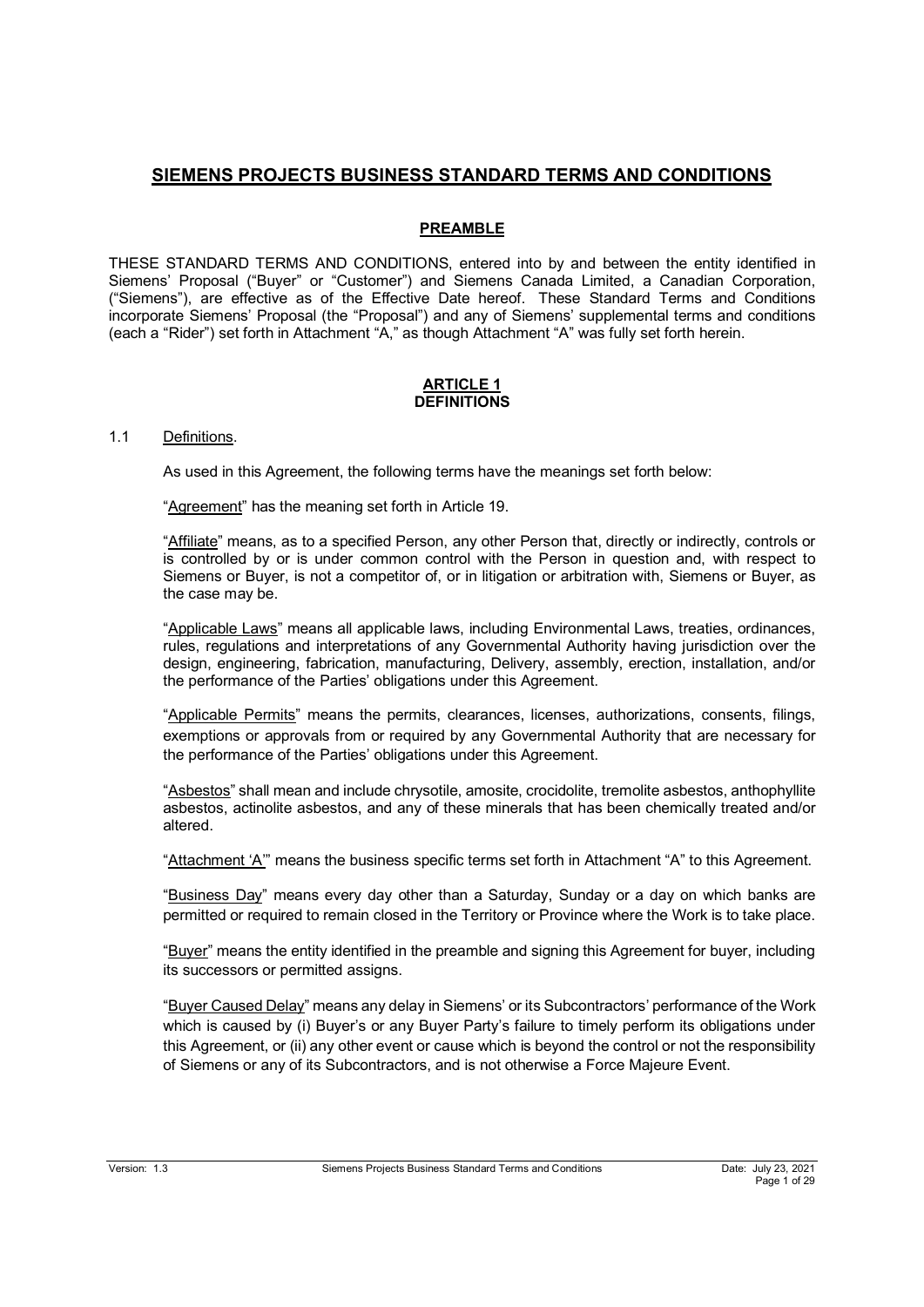# **SIEMENS PROJECTS BUSINESS STANDARD TERMS AND CONDITIONS**

## **PREAMBLE**

THESE STANDARD TERMS AND CONDITIONS, entered into by and between the entity identified in Siemens' Proposal ("Buyer" or "Customer") and Siemens Canada Limited, a Canadian Corporation, ("Siemens"), are effective as of the Effective Date hereof. These Standard Terms and Conditions incorporate Siemens' Proposal (the "Proposal") and any of Siemens' supplemental terms and conditions (each a "Rider") set forth in Attachment "A," as though Attachment "A" was fully set forth herein.

### **ARTICLE 1 DEFINITIONS**

## 1.1 Definitions.

As used in this Agreement, the following terms have the meanings set forth below:

"Agreement" has the meaning set forth in Article 19.

"Affiliate" means, as to a specified Person, any other Person that, directly or indirectly, controls or is controlled by or is under common control with the Person in question and, with respect to Siemens or Buyer, is not a competitor of, or in litigation or arbitration with, Siemens or Buyer, as the case may be.

"Applicable Laws" means all applicable laws, including Environmental Laws, treaties, ordinances, rules, regulations and interpretations of any Governmental Authority having jurisdiction over the design, engineering, fabrication, manufacturing, Delivery, assembly, erection, installation, and/or the performance of the Parties' obligations under this Agreement.

"Applicable Permits" means the permits, clearances, licenses, authorizations, consents, filings, exemptions or approvals from or required by any Governmental Authority that are necessary for the performance of the Parties' obligations under this Agreement.

"Asbestos" shall mean and include chrysotile, amosite, crocidolite, tremolite asbestos, anthophyllite asbestos, actinolite asbestos, and any of these minerals that has been chemically treated and/or altered.

"Attachment 'A'" means the business specific terms set forth in Attachment "A" to this Agreement.

"Business Day" means every day other than a Saturday, Sunday or a day on which banks are permitted or required to remain closed in the Territory or Province where the Work is to take place.

"Buyer" means the entity identified in the preamble and signing this Agreement for buyer, including its successors or permitted assigns.

"Buyer Caused Delay" means any delay in Siemens' or its Subcontractors' performance of the Work which is caused by (i) Buyer's or any Buyer Party's failure to timely perform its obligations under this Agreement, or (ii) any other event or cause which is beyond the control or not the responsibility of Siemens or any of its Subcontractors, and is not otherwise a Force Majeure Event.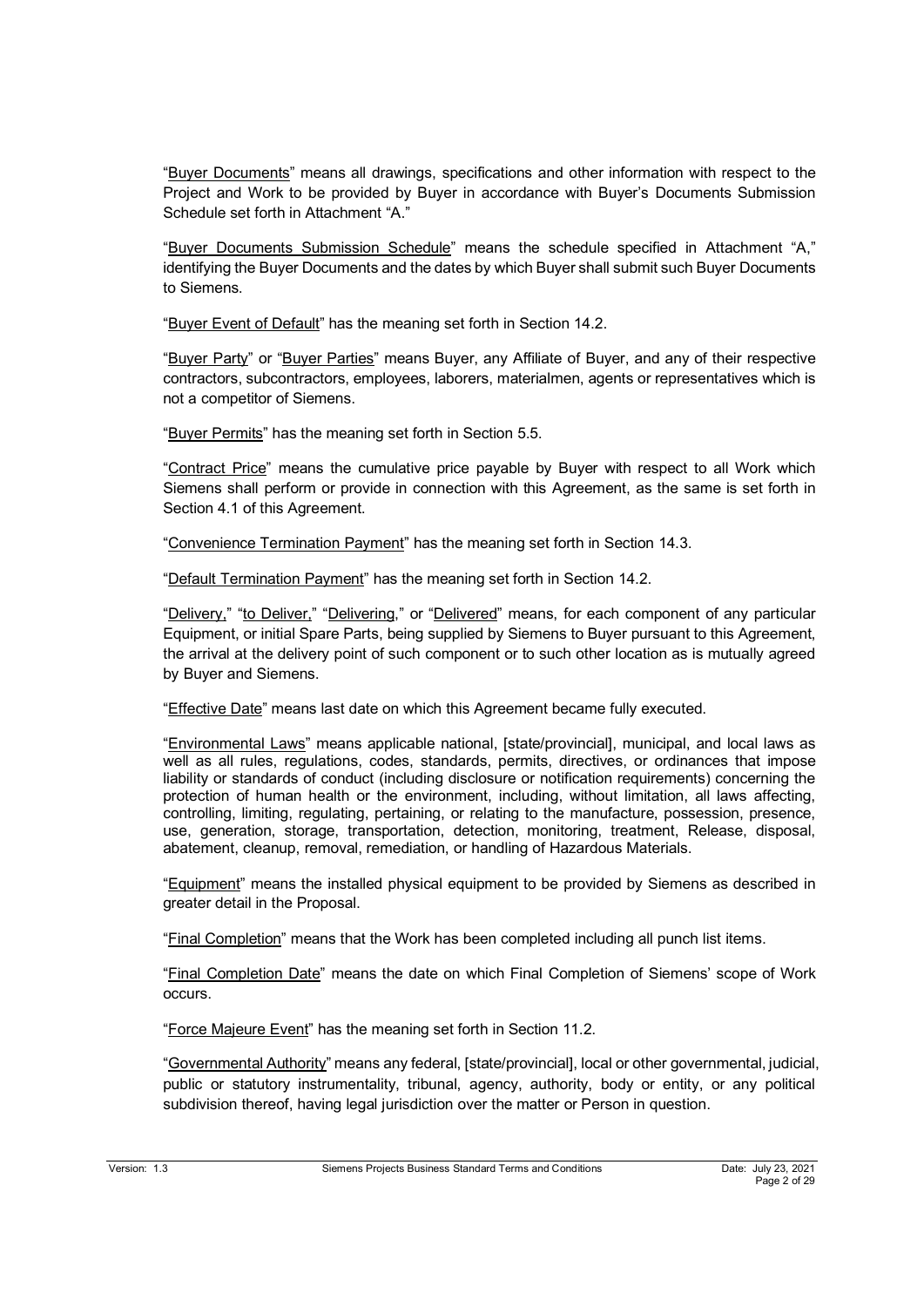"Buyer Documents" means all drawings, specifications and other information with respect to the Project and Work to be provided by Buyer in accordance with Buyer's Documents Submission Schedule set forth in Attachment "A."

"Buyer Documents Submission Schedule" means the schedule specified in Attachment "A," identifying the Buyer Documents and the dates by which Buyer shall submit such Buyer Documents to Siemens.

"Buyer Event of Default" has the meaning set forth in Section 14.2.

"Buyer Party" or "Buyer Parties" means Buyer, any Affiliate of Buyer, and any of their respective contractors, subcontractors, employees, laborers, materialmen, agents or representatives which is not a competitor of Siemens.

"Buyer Permits" has the meaning set forth in Section 5.5.

"Contract Price" means the cumulative price payable by Buyer with respect to all Work which Siemens shall perform or provide in connection with this Agreement, as the same is set forth in Section 4.1 of this Agreement.

"Convenience Termination Payment" has the meaning set forth in Section 14.3.

"Default Termination Payment" has the meaning set forth in Section 14.2.

"Delivery," "to Deliver," "Delivering," or "Delivered" means, for each component of any particular Equipment, or initial Spare Parts, being supplied by Siemens to Buyer pursuant to this Agreement, the arrival at the delivery point of such component or to such other location as is mutually agreed by Buyer and Siemens.

"Effective Date" means last date on which this Agreement became fully executed.

"Environmental Laws" means applicable national, [state/provincial], municipal, and local laws as well as all rules, regulations, codes, standards, permits, directives, or ordinances that impose liability or standards of conduct (including disclosure or notification requirements) concerning the protection of human health or the environment, including, without limitation, all laws affecting, controlling, limiting, regulating, pertaining, or relating to the manufacture, possession, presence, use, generation, storage, transportation, detection, monitoring, treatment, Release, disposal, abatement, cleanup, removal, remediation, or handling of Hazardous Materials.

"Equipment" means the installed physical equipment to be provided by Siemens as described in greater detail in the Proposal.

"Final Completion" means that the Work has been completed including all punch list items.

"Final Completion Date" means the date on which Final Completion of Siemens' scope of Work occurs.

"Force Majeure Event" has the meaning set forth in Section 11.2.

"Governmental Authority" means any federal, [state/provincial], local or other governmental, judicial, public or statutory instrumentality, tribunal, agency, authority, body or entity, or any political subdivision thereof, having legal jurisdiction over the matter or Person in question.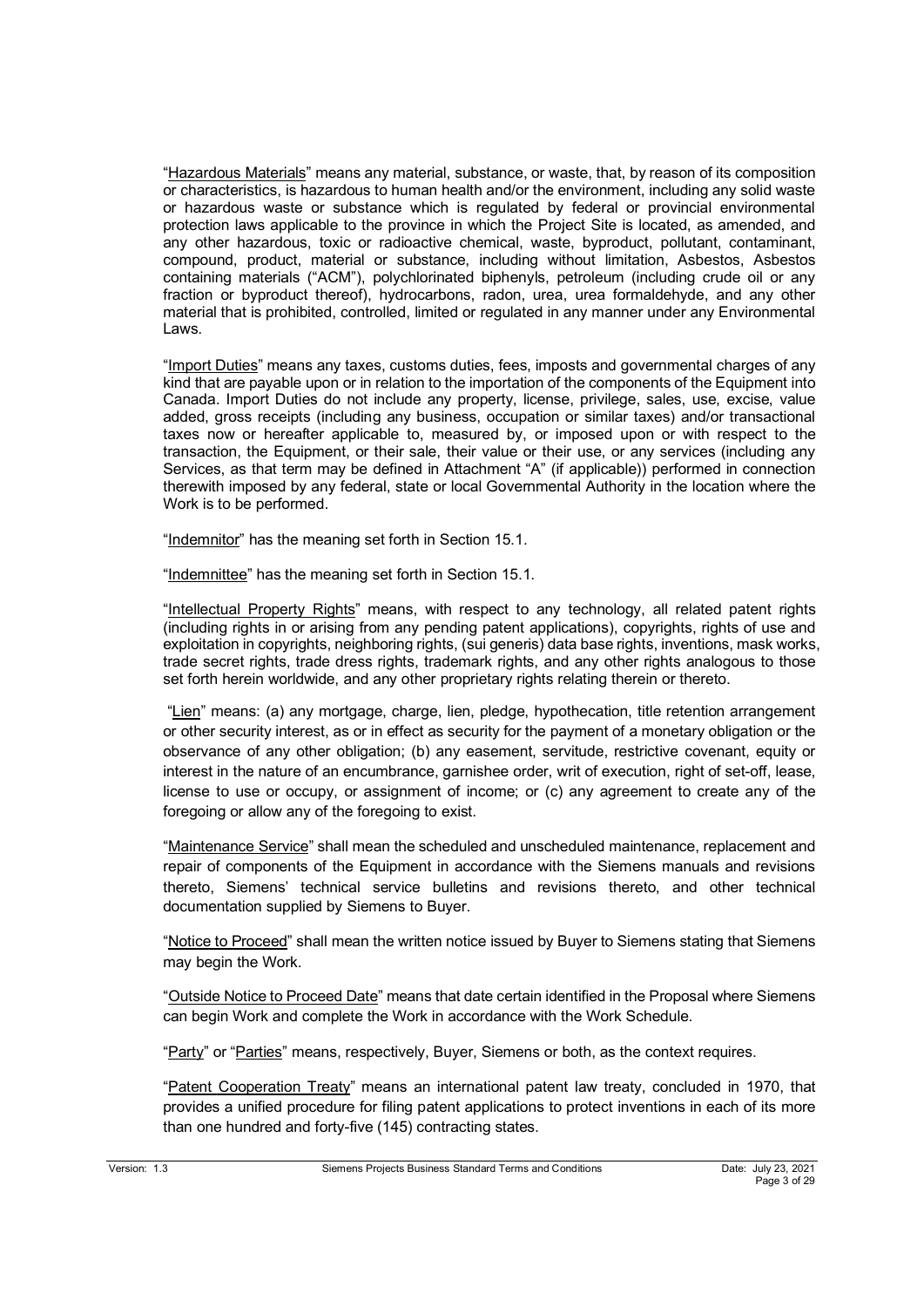"Hazardous Materials" means any material, substance, or waste, that, by reason of its composition or characteristics, is hazardous to human health and/or the environment, including any solid waste or hazardous waste or substance which is regulated by federal or provincial environmental protection laws applicable to the province in which the Project Site is located, as amended, and any other hazardous, toxic or radioactive chemical, waste, byproduct, pollutant, contaminant, compound, product, material or substance, including without limitation, Asbestos, Asbestos containing materials ("ACM"), polychlorinated biphenyls, petroleum (including crude oil or any fraction or byproduct thereof), hydrocarbons, radon, urea, urea formaldehyde, and any other material that is prohibited, controlled, limited or regulated in any manner under any Environmental Laws.

"Import Duties" means any taxes, customs duties, fees, imposts and governmental charges of any kind that are payable upon or in relation to the importation of the components of the Equipment into Canada. Import Duties do not include any property, license, privilege, sales, use, excise, value added, gross receipts (including any business, occupation or similar taxes) and/or transactional taxes now or hereafter applicable to, measured by, or imposed upon or with respect to the transaction, the Equipment, or their sale, their value or their use, or any services (including any Services, as that term may be defined in Attachment "A" (if applicable)) performed in connection therewith imposed by any federal, state or local Governmental Authority in the location where the Work is to be performed.

"Indemnitor" has the meaning set forth in Section 15.1.

"Indemnittee" has the meaning set forth in Section 15.1.

"Intellectual Property Rights" means, with respect to any technology, all related patent rights (including rights in or arising from any pending patent applications), copyrights, rights of use and exploitation in copyrights, neighboring rights, (sui generis) data base rights, inventions, mask works, trade secret rights, trade dress rights, trademark rights, and any other rights analogous to those set forth herein worldwide, and any other proprietary rights relating therein or thereto.

"Lien" means: (a) any mortgage, charge, lien, pledge, hypothecation, title retention arrangement or other security interest, as or in effect as security for the payment of a monetary obligation or the observance of any other obligation; (b) any easement, servitude, restrictive covenant, equity or interest in the nature of an encumbrance, garnishee order, writ of execution, right of set-off, lease, license to use or occupy, or assignment of income; or (c) any agreement to create any of the foregoing or allow any of the foregoing to exist.

"Maintenance Service" shall mean the scheduled and unscheduled maintenance, replacement and repair of components of the Equipment in accordance with the Siemens manuals and revisions thereto, Siemens' technical service bulletins and revisions thereto, and other technical documentation supplied by Siemens to Buyer.

"Notice to Proceed" shall mean the written notice issued by Buyer to Siemens stating that Siemens may begin the Work.

"Outside Notice to Proceed Date" means that date certain identified in the Proposal where Siemens can begin Work and complete the Work in accordance with the Work Schedule.

"Party" or "Parties" means, respectively, Buyer, Siemens or both, as the context requires.

"Patent Cooperation Treaty" means an international patent law treaty, concluded in 1970, that provides a unified procedure for filing patent applications to protect inventions in each of its more than one hundred and forty-five (145) contracting states.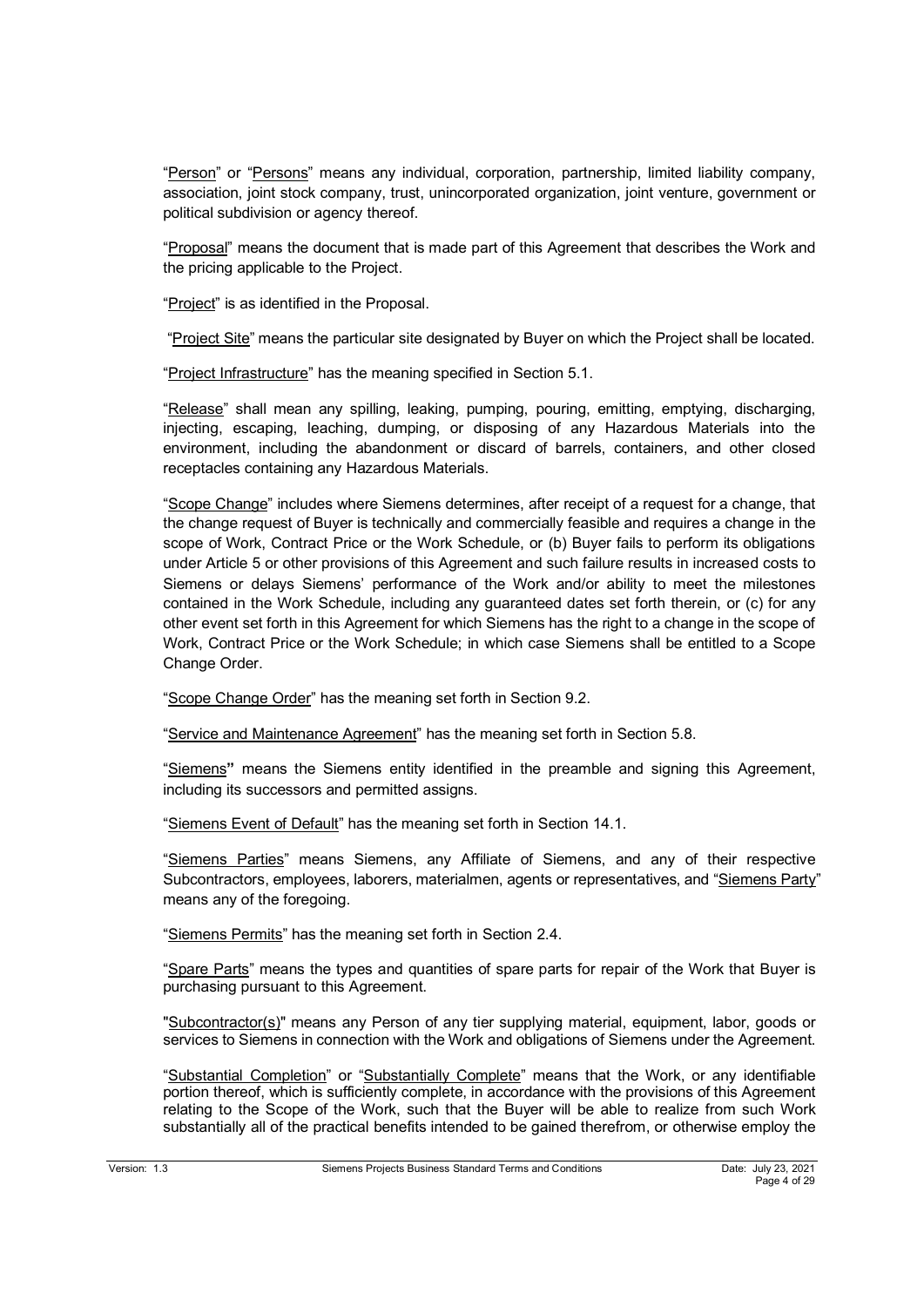"Person" or "Persons" means any individual, corporation, partnership, limited liability company, association, joint stock company, trust, unincorporated organization, joint venture, government or political subdivision or agency thereof.

"Proposal" means the document that is made part of this Agreement that describes the Work and the pricing applicable to the Project.

"Project" is as identified in the Proposal.

"Project Site" means the particular site designated by Buyer on which the Project shall be located.

"Project Infrastructure" has the meaning specified in Section 5.1.

"Release" shall mean any spilling, leaking, pumping, pouring, emitting, emptying, discharging, injecting, escaping, leaching, dumping, or disposing of any Hazardous Materials into the environment, including the abandonment or discard of barrels, containers, and other closed receptacles containing any Hazardous Materials.

"Scope Change" includes where Siemens determines, after receipt of a request for a change, that the change request of Buyer is technically and commercially feasible and requires a change in the scope of Work, Contract Price or the Work Schedule, or (b) Buyer fails to perform its obligations under Article 5 or other provisions of this Agreement and such failure results in increased costs to Siemens or delays Siemens' performance of the Work and/or ability to meet the milestones contained in the Work Schedule, including any guaranteed dates set forth therein, or (c) for any other event set forth in this Agreement for which Siemens has the right to a change in the scope of Work, Contract Price or the Work Schedule; in which case Siemens shall be entitled to a Scope Change Order.

"Scope Change Order" has the meaning set forth in Section 9.2.

"Service and Maintenance Agreement" has the meaning set forth in Section 5.8.

"Siemens**"** means the Siemens entity identified in the preamble and signing this Agreement, including its successors and permitted assigns.

"Siemens Event of Default" has the meaning set forth in Section 14.1.

"Siemens Parties" means Siemens, any Affiliate of Siemens, and any of their respective Subcontractors, employees, laborers, materialmen, agents or representatives, and "Siemens Party" means any of the foregoing.

"Siemens Permits" has the meaning set forth in Section 2.4.

"Spare Parts" means the types and quantities of spare parts for repair of the Work that Buyer is purchasing pursuant to this Agreement.

"Subcontractor(s)" means any Person of any tier supplying material, equipment, labor, goods or services to Siemens in connection with the Work and obligations of Siemens under the Agreement.

"Substantial Completion" or "Substantially Complete" means that the Work, or any identifiable portion thereof, which is sufficiently complete, in accordance with the provisions of this Agreement relating to the Scope of the Work, such that the Buyer will be able to realize from such Work substantially all of the practical benefits intended to be gained therefrom, or otherwise employ the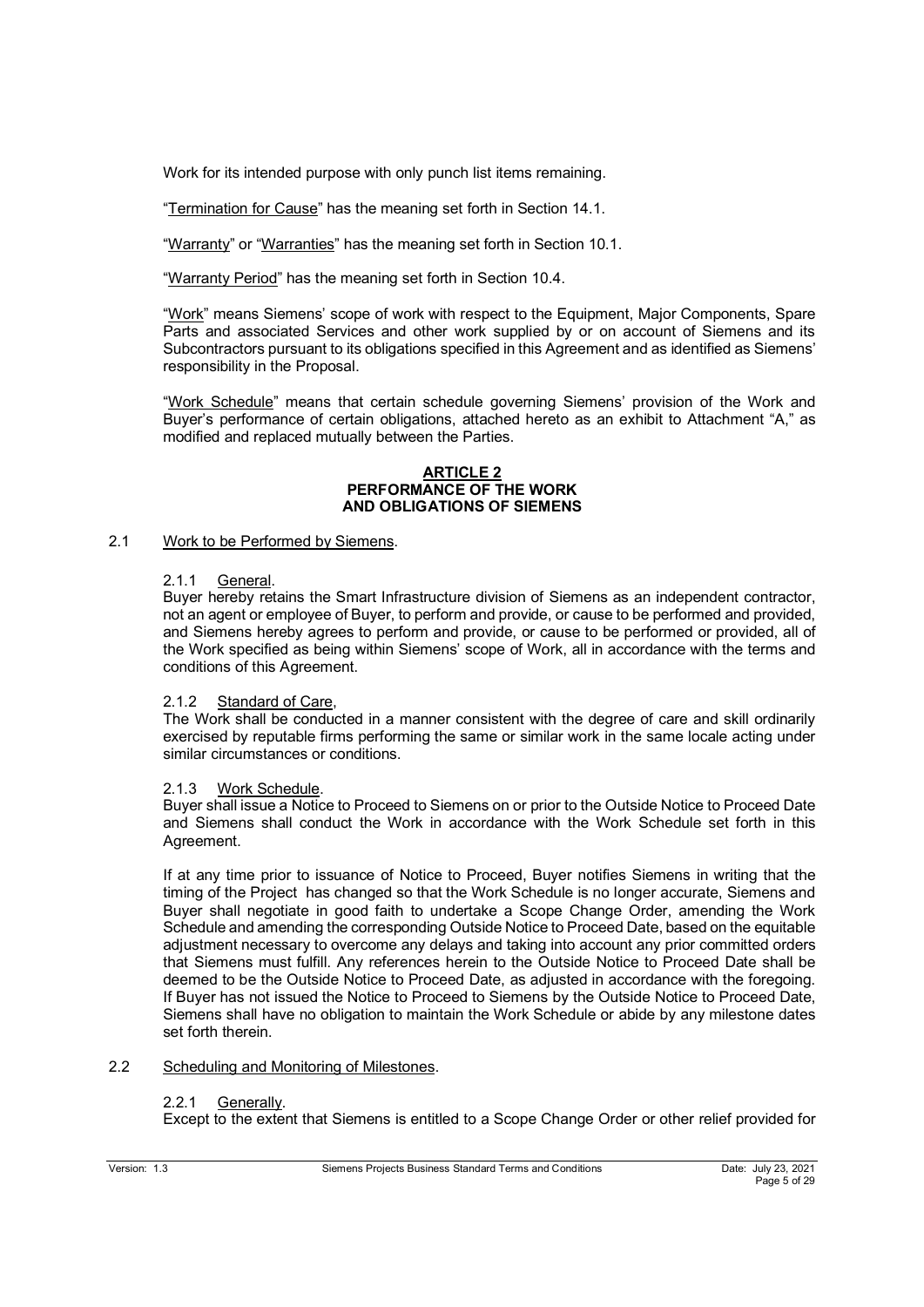Work for its intended purpose with only punch list items remaining.

"Termination for Cause" has the meaning set forth in Section 14.1.

"Warranty" or "Warranties" has the meaning set forth in Section 10.1.

"Warranty Period" has the meaning set forth in Section 10.4.

"Work" means Siemens' scope of work with respect to the Equipment, Major Components, Spare Parts and associated Services and other work supplied by or on account of Siemens and its Subcontractors pursuant to its obligations specified in this Agreement and as identified as Siemens' responsibility in the Proposal.

"Work Schedule" means that certain schedule governing Siemens' provision of the Work and Buyer's performance of certain obligations, attached hereto as an exhibit to Attachment "A," as modified and replaced mutually between the Parties.

## **ARTICLE 2 PERFORMANCE OF THE WORK AND OBLIGATIONS OF SIEMENS**

## 2.1 Work to be Performed by Siemens.

## 2.1.1 General.

Buyer hereby retains the Smart Infrastructure division of Siemens as an independent contractor, not an agent or employee of Buyer, to perform and provide, or cause to be performed and provided, and Siemens hereby agrees to perform and provide, or cause to be performed or provided, all of the Work specified as being within Siemens' scope of Work, all in accordance with the terms and conditions of this Agreement.

### 2.1.2 Standard of Care,

The Work shall be conducted in a manner consistent with the degree of care and skill ordinarily exercised by reputable firms performing the same or similar work in the same locale acting under similar circumstances or conditions.

## 2.1.3 Work Schedule.

Buyer shall issue a Notice to Proceed to Siemens on or prior to the Outside Notice to Proceed Date and Siemens shall conduct the Work in accordance with the Work Schedule set forth in this Agreement.

If at any time prior to issuance of Notice to Proceed, Buyer notifies Siemens in writing that the timing of the Project has changed so that the Work Schedule is no longer accurate, Siemens and Buyer shall negotiate in good faith to undertake a Scope Change Order, amending the Work Schedule and amending the corresponding Outside Notice to Proceed Date, based on the equitable adjustment necessary to overcome any delays and taking into account any prior committed orders that Siemens must fulfill. Any references herein to the Outside Notice to Proceed Date shall be deemed to be the Outside Notice to Proceed Date, as adjusted in accordance with the foregoing. If Buyer has not issued the Notice to Proceed to Siemens by the Outside Notice to Proceed Date, Siemens shall have no obligation to maintain the Work Schedule or abide by any milestone dates set forth therein.

## 2.2 Scheduling and Monitoring of Milestones.

## 2.2.1 Generally.

Except to the extent that Siemens is entitled to a Scope Change Order or other relief provided for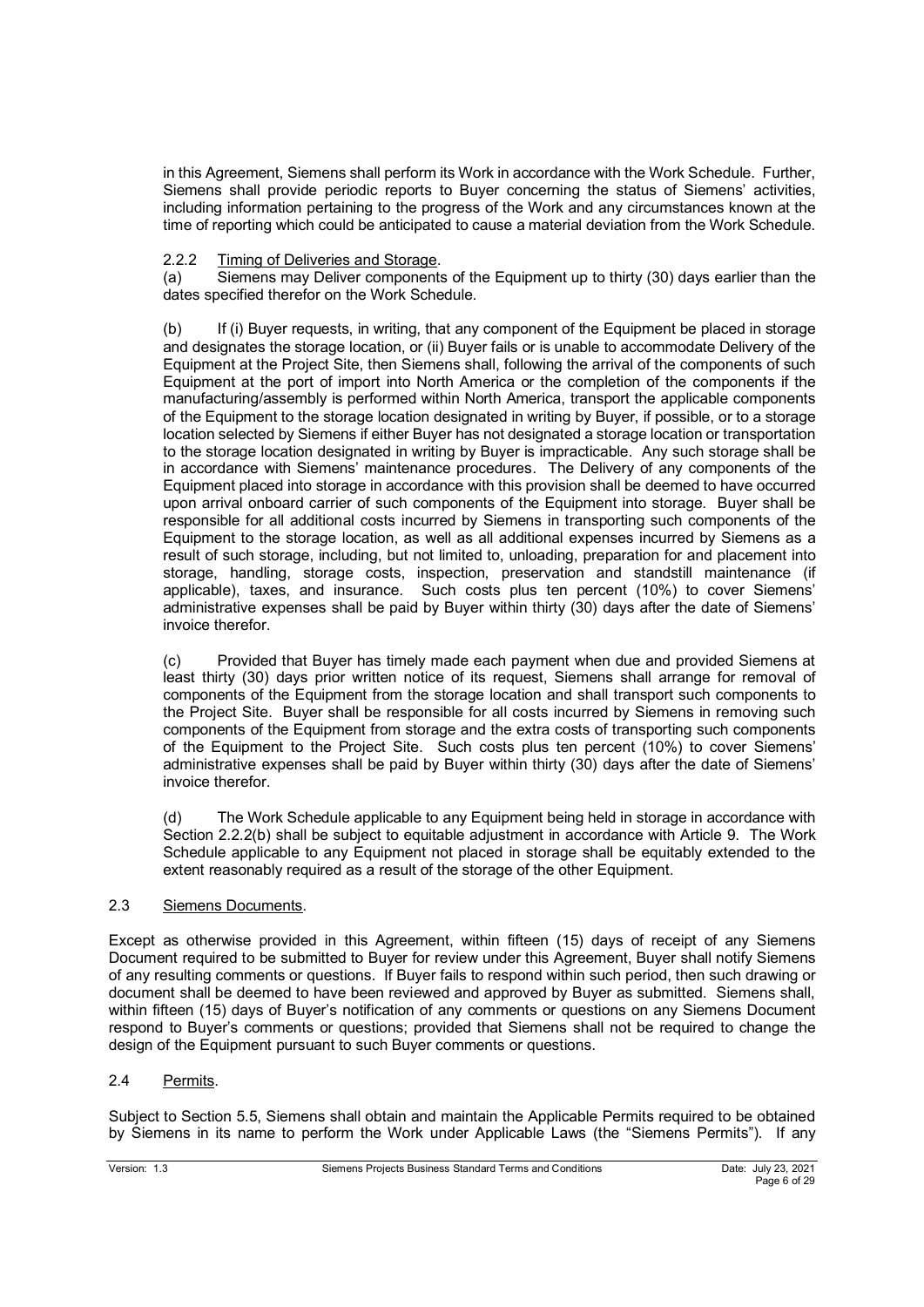in this Agreement, Siemens shall perform its Work in accordance with the Work Schedule. Further, Siemens shall provide periodic reports to Buyer concerning the status of Siemens' activities, including information pertaining to the progress of the Work and any circumstances known at the time of reporting which could be anticipated to cause a material deviation from the Work Schedule.

# 2.2.2 Timing of Deliveries and Storage.

(a) Siemens may Deliver components of the Equipment up to thirty (30) days earlier than the dates specified therefor on the Work Schedule.

(b) If (i) Buyer requests, in writing, that any component of the Equipment be placed in storage and designates the storage location, or (ii) Buyer fails or is unable to accommodate Delivery of the Equipment at the Project Site, then Siemens shall, following the arrival of the components of such Equipment at the port of import into North America or the completion of the components if the manufacturing/assembly is performed within North America, transport the applicable components of the Equipment to the storage location designated in writing by Buyer, if possible, or to a storage location selected by Siemens if either Buyer has not designated a storage location or transportation to the storage location designated in writing by Buyer is impracticable. Any such storage shall be in accordance with Siemens' maintenance procedures. The Delivery of any components of the Equipment placed into storage in accordance with this provision shall be deemed to have occurred upon arrival onboard carrier of such components of the Equipment into storage. Buyer shall be responsible for all additional costs incurred by Siemens in transporting such components of the Equipment to the storage location, as well as all additional expenses incurred by Siemens as a result of such storage, including, but not limited to, unloading, preparation for and placement into storage, handling, storage costs, inspection, preservation and standstill maintenance (if applicable), taxes, and insurance. Such costs plus ten percent (10%) to cover Siemens' administrative expenses shall be paid by Buyer within thirty (30) days after the date of Siemens' invoice therefor.

(c) Provided that Buyer has timely made each payment when due and provided Siemens at least thirty (30) days prior written notice of its request, Siemens shall arrange for removal of components of the Equipment from the storage location and shall transport such components to the Project Site. Buyer shall be responsible for all costs incurred by Siemens in removing such components of the Equipment from storage and the extra costs of transporting such components of the Equipment to the Project Site. Such costs plus ten percent (10%) to cover Siemens' administrative expenses shall be paid by Buyer within thirty (30) days after the date of Siemens' invoice therefor.

(d) The Work Schedule applicable to any Equipment being held in storage in accordance with Section 2.2.2(b) shall be subject to equitable adjustment in accordance with Article 9. The Work Schedule applicable to any Equipment not placed in storage shall be equitably extended to the extent reasonably required as a result of the storage of the other Equipment.

## 2.3 Siemens Documents.

Except as otherwise provided in this Agreement, within fifteen (15) days of receipt of any Siemens Document required to be submitted to Buyer for review under this Agreement, Buyer shall notify Siemens of any resulting comments or questions. If Buyer fails to respond within such period, then such drawing or document shall be deemed to have been reviewed and approved by Buyer as submitted. Siemens shall, within fifteen (15) days of Buyer's notification of any comments or questions on any Siemens Document respond to Buyer's comments or questions; provided that Siemens shall not be required to change the design of the Equipment pursuant to such Buyer comments or questions.

## 2.4 Permits.

Subject to Section 5.5, Siemens shall obtain and maintain the Applicable Permits required to be obtained by Siemens in its name to perform the Work under Applicable Laws (the "Siemens Permits"). If any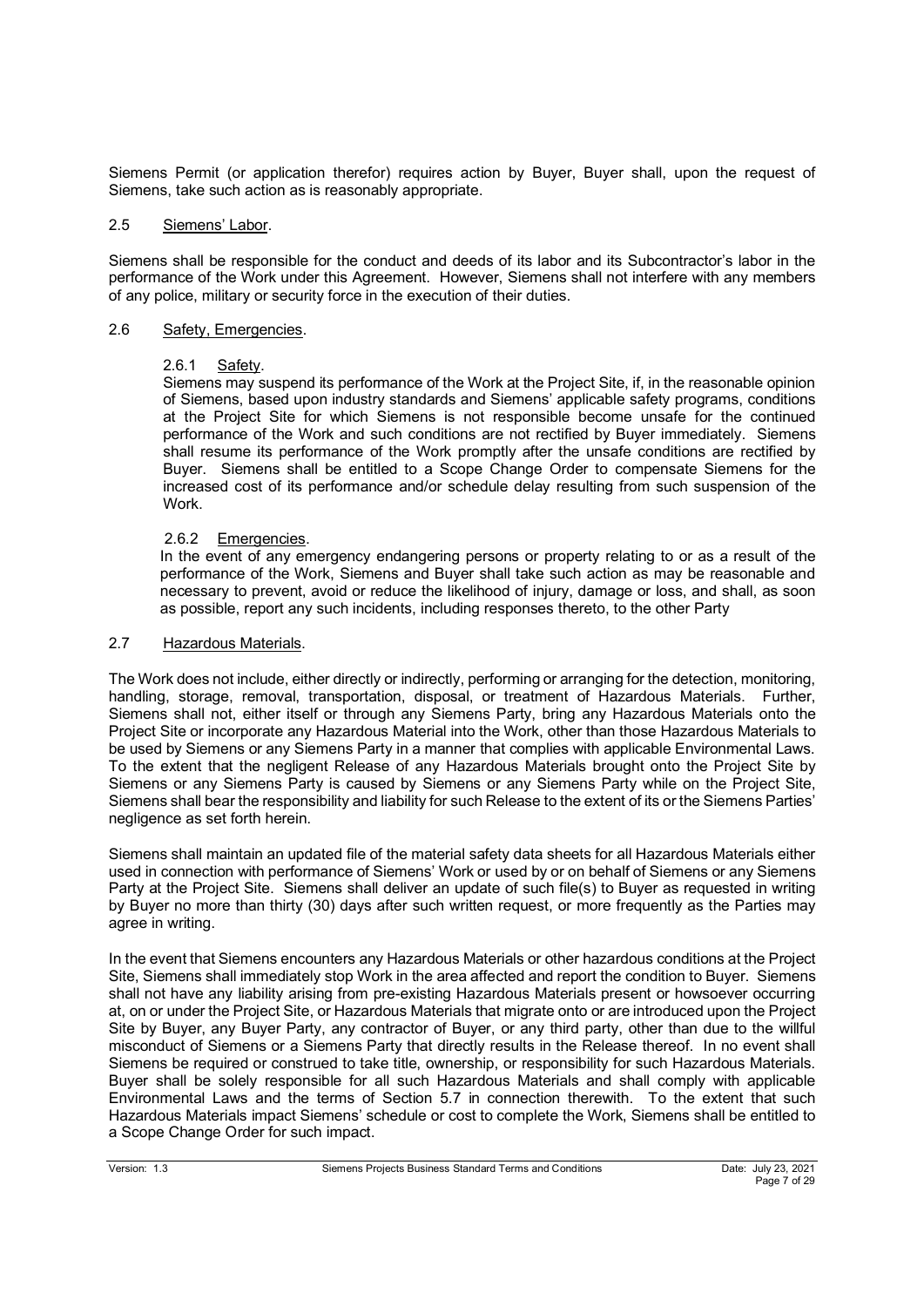Siemens Permit (or application therefor) requires action by Buyer, Buyer shall, upon the request of Siemens, take such action as is reasonably appropriate.

#### 2.5 Siemens' Labor.

Siemens shall be responsible for the conduct and deeds of its labor and its Subcontractor's labor in the performance of the Work under this Agreement. However, Siemens shall not interfere with any members of any police, military or security force in the execution of their duties.

### 2.6 Safety, Emergencies.

### 2.6.1 Safety.

Siemens may suspend its performance of the Work at the Project Site, if, in the reasonable opinion of Siemens, based upon industry standards and Siemens' applicable safety programs, conditions at the Project Site for which Siemens is not responsible become unsafe for the continued performance of the Work and such conditions are not rectified by Buyer immediately. Siemens shall resume its performance of the Work promptly after the unsafe conditions are rectified by Buyer. Siemens shall be entitled to a Scope Change Order to compensate Siemens for the increased cost of its performance and/or schedule delay resulting from such suspension of the Work.

### 2.6.2 Emergencies.

In the event of any emergency endangering persons or property relating to or as a result of the performance of the Work, Siemens and Buyer shall take such action as may be reasonable and necessary to prevent, avoid or reduce the likelihood of injury, damage or loss, and shall, as soon as possible, report any such incidents, including responses thereto, to the other Party

#### 2.7 Hazardous Materials.

The Work does not include, either directly or indirectly, performing or arranging for the detection, monitoring, handling, storage, removal, transportation, disposal, or treatment of Hazardous Materials. Further, Siemens shall not, either itself or through any Siemens Party, bring any Hazardous Materials onto the Project Site or incorporate any Hazardous Material into the Work, other than those Hazardous Materials to be used by Siemens or any Siemens Party in a manner that complies with applicable Environmental Laws. To the extent that the negligent Release of any Hazardous Materials brought onto the Project Site by Siemens or any Siemens Party is caused by Siemens or any Siemens Party while on the Project Site, Siemens shall bear the responsibility and liability for such Release to the extent of its or the Siemens Parties' negligence as set forth herein.

Siemens shall maintain an updated file of the material safety data sheets for all Hazardous Materials either used in connection with performance of Siemens' Work or used by or on behalf of Siemens or any Siemens Party at the Project Site. Siemens shall deliver an update of such file(s) to Buyer as requested in writing by Buyer no more than thirty (30) days after such written request, or more frequently as the Parties may agree in writing.

In the event that Siemens encounters any Hazardous Materials or other hazardous conditions at the Project Site, Siemens shall immediately stop Work in the area affected and report the condition to Buyer. Siemens shall not have any liability arising from pre-existing Hazardous Materials present or howsoever occurring at, on or under the Project Site, or Hazardous Materials that migrate onto or are introduced upon the Project Site by Buyer, any Buyer Party, any contractor of Buyer, or any third party, other than due to the willful misconduct of Siemens or a Siemens Party that directly results in the Release thereof. In no event shall Siemens be required or construed to take title, ownership, or responsibility for such Hazardous Materials. Buyer shall be solely responsible for all such Hazardous Materials and shall comply with applicable Environmental Laws and the terms of Section 5.7 in connection therewith. To the extent that such Hazardous Materials impact Siemens' schedule or cost to complete the Work, Siemens shall be entitled to a Scope Change Order for such impact.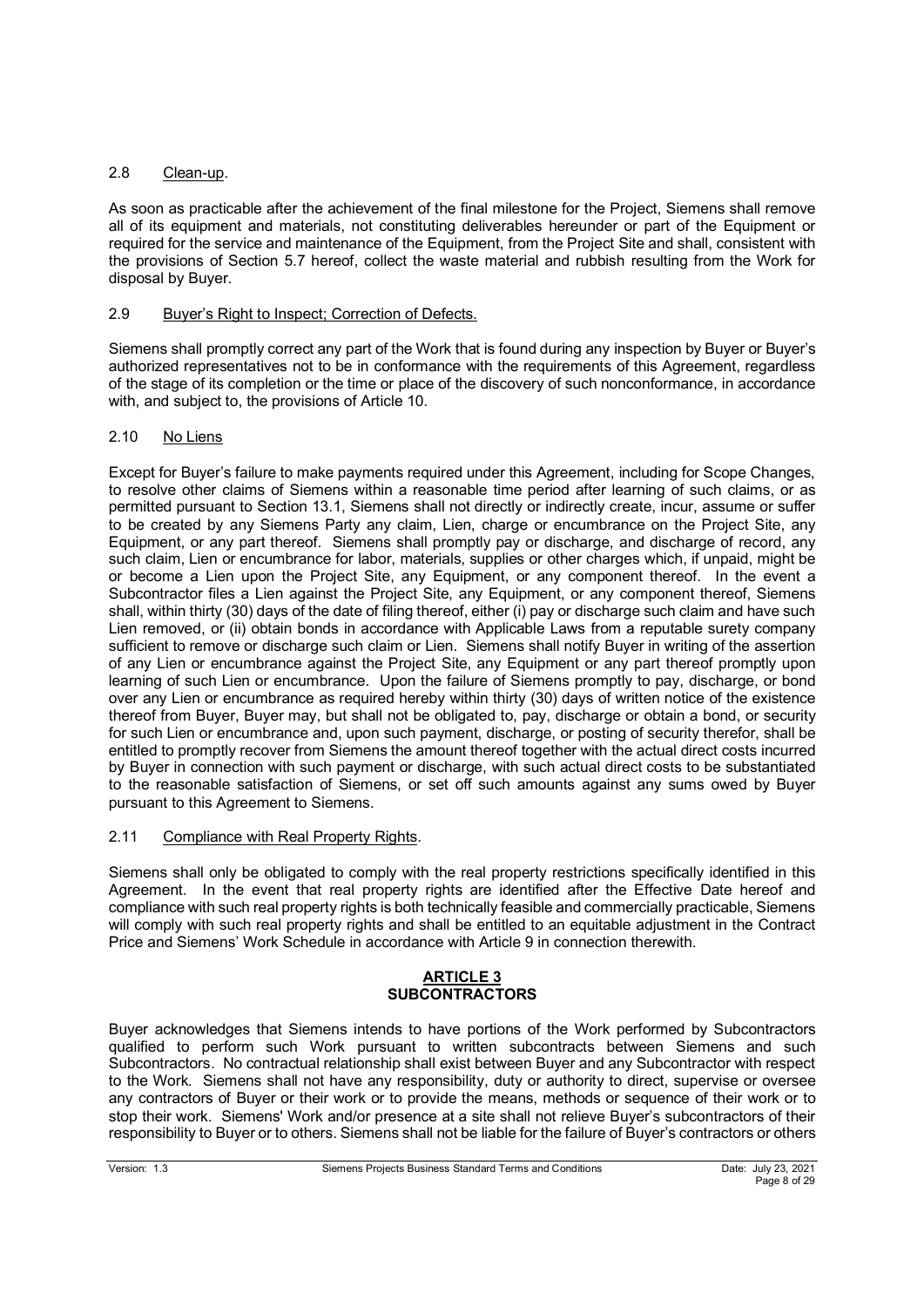# 2.8 Clean-up.

As soon as practicable after the achievement of the final milestone for the Project, Siemens shall remove all of its equipment and materials, not constituting deliverables hereunder or part of the Equipment or required for the service and maintenance of the Equipment, from the Project Site and shall, consistent with the provisions of Section 5.7 hereof, collect the waste material and rubbish resulting from the Work for disposal by Buyer.

## 2.9 Buyer's Right to Inspect; Correction of Defects.

Siemens shall promptly correct any part of the Work that is found during any inspection by Buyer or Buyer's authorized representatives not to be in conformance with the requirements of this Agreement, regardless of the stage of its completion or the time or place of the discovery of such nonconformance, in accordance with, and subject to, the provisions of Article 10.

# 2.10 No Liens

Except for Buyer's failure to make payments required under this Agreement, including for Scope Changes, to resolve other claims of Siemens within a reasonable time period after learning of such claims, or as permitted pursuant to Section 13.1, Siemens shall not directly or indirectly create, incur, assume or suffer to be created by any Siemens Party any claim, Lien, charge or encumbrance on the Project Site, any Equipment, or any part thereof. Siemens shall promptly pay or discharge, and discharge of record, any such claim, Lien or encumbrance for labor, materials, supplies or other charges which, if unpaid, might be or become a Lien upon the Project Site, any Equipment, or any component thereof. In the event a Subcontractor files a Lien against the Project Site, any Equipment, or any component thereof, Siemens shall, within thirty (30) days of the date of filing thereof, either (i) pay or discharge such claim and have such Lien removed, or (ii) obtain bonds in accordance with Applicable Laws from a reputable surety company sufficient to remove or discharge such claim or Lien. Siemens shall notify Buyer in writing of the assertion of any Lien or encumbrance against the Project Site, any Equipment or any part thereof promptly upon learning of such Lien or encumbrance. Upon the failure of Siemens promptly to pay, discharge, or bond over any Lien or encumbrance as required hereby within thirty (30) days of written notice of the existence thereof from Buyer, Buyer may, but shall not be obligated to, pay, discharge or obtain a bond, or security for such Lien or encumbrance and, upon such payment, discharge, or posting of security therefor, shall be entitled to promptly recover from Siemens the amount thereof together with the actual direct costs incurred by Buyer in connection with such payment or discharge, with such actual direct costs to be substantiated to the reasonable satisfaction of Siemens, or set off such amounts against any sums owed by Buyer pursuant to this Agreement to Siemens.

## 2.11 Compliance with Real Property Rights.

Siemens shall only be obligated to comply with the real property restrictions specifically identified in this Agreement. In the event that real property rights are identified after the Effective Date hereof and compliance with such real property rights is both technically feasible and commercially practicable, Siemens will comply with such real property rights and shall be entitled to an equitable adjustment in the Contract Price and Siemens' Work Schedule in accordance with Article 9 in connection therewith.

### **ARTICLE 3 SUBCONTRACTORS**

Buyer acknowledges that Siemens intends to have portions of the Work performed by Subcontractors qualified to perform such Work pursuant to written subcontracts between Siemens and such Subcontractors. No contractual relationship shall exist between Buyer and any Subcontractor with respect to the Work. Siemens shall not have any responsibility, duty or authority to direct, supervise or oversee any contractors of Buyer or their work or to provide the means, methods or sequence of their work or to stop their work. Siemens' Work and/or presence at a site shall not relieve Buyer's subcontractors of their responsibility to Buyer or to others. Siemens shall not be liable for the failure of Buyer's contractors or others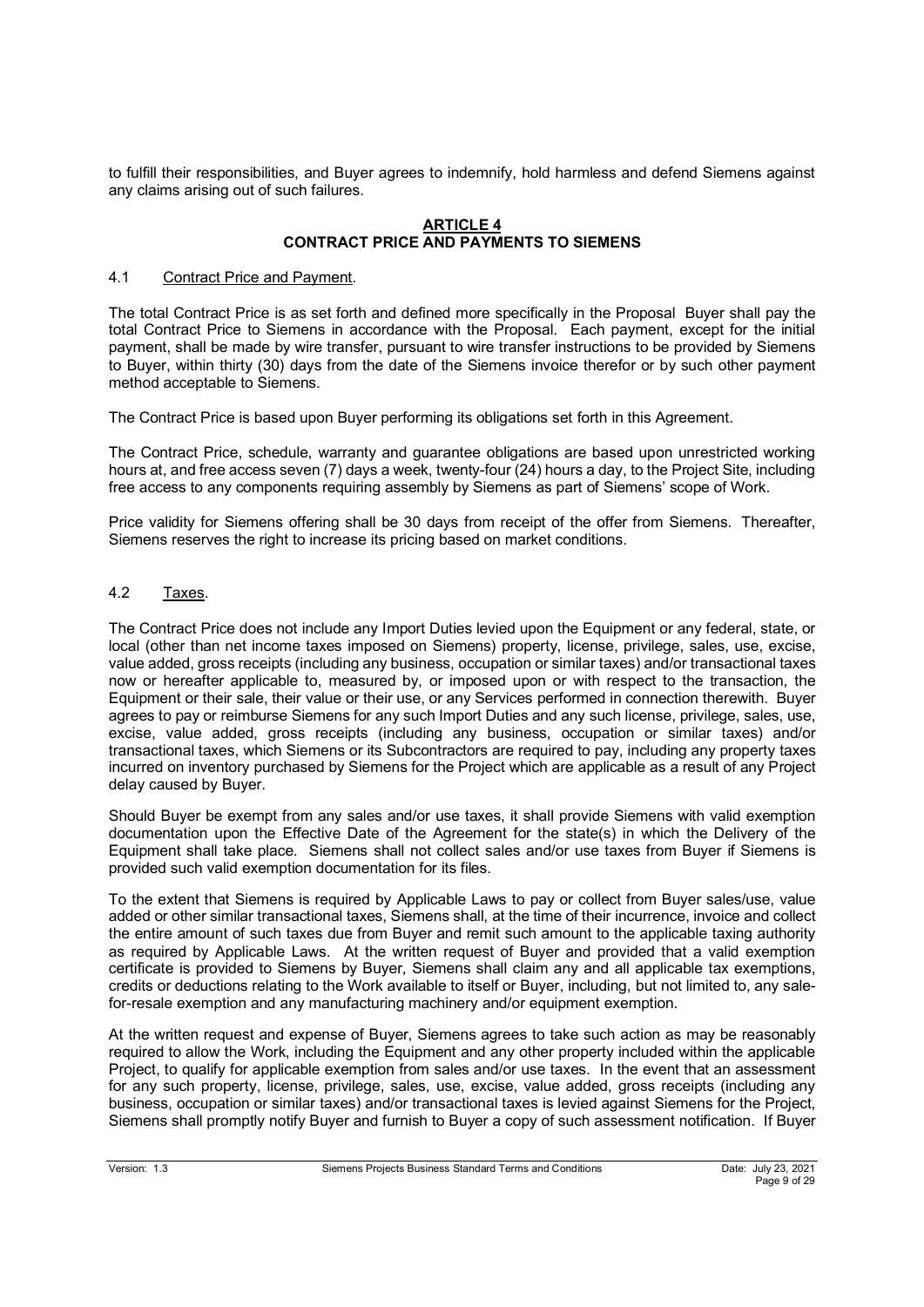to fulfill their responsibilities, and Buyer agrees to indemnify, hold harmless and defend Siemens against any claims arising out of such failures.

### **ARTICLE 4 CONTRACT PRICE AND PAYMENTS TO SIEMENS**

## 4.1 Contract Price and Payment.

The total Contract Price is as set forth and defined more specifically in the Proposal Buyer shall pay the total Contract Price to Siemens in accordance with the Proposal. Each payment, except for the initial payment, shall be made by wire transfer, pursuant to wire transfer instructions to be provided by Siemens to Buyer, within thirty (30) days from the date of the Siemens invoice therefor or by such other payment method acceptable to Siemens.

The Contract Price is based upon Buyer performing its obligations set forth in this Agreement.

The Contract Price, schedule, warranty and guarantee obligations are based upon unrestricted working hours at, and free access seven (7) days a week, twenty-four (24) hours a day, to the Project Site, including free access to any components requiring assembly by Siemens as part of Siemens' scope of Work.

Price validity for Siemens offering shall be 30 days from receipt of the offer from Siemens. Thereafter, Siemens reserves the right to increase its pricing based on market conditions.

## 4.2 Taxes.

The Contract Price does not include any Import Duties levied upon the Equipment or any federal, state, or local (other than net income taxes imposed on Siemens) property, license, privilege, sales, use, excise, value added, gross receipts (including any business, occupation or similar taxes) and/or transactional taxes now or hereafter applicable to, measured by, or imposed upon or with respect to the transaction, the Equipment or their sale, their value or their use, or any Services performed in connection therewith. Buyer agrees to pay or reimburse Siemens for any such Import Duties and any such license, privilege, sales, use, excise, value added, gross receipts (including any business, occupation or similar taxes) and/or transactional taxes, which Siemens or its Subcontractors are required to pay, including any property taxes incurred on inventory purchased by Siemens for the Project which are applicable as a result of any Project delay caused by Buyer.

Should Buyer be exempt from any sales and/or use taxes, it shall provide Siemens with valid exemption documentation upon the Effective Date of the Agreement for the state(s) in which the Delivery of the Equipment shall take place. Siemens shall not collect sales and/or use taxes from Buyer if Siemens is provided such valid exemption documentation for its files.

To the extent that Siemens is required by Applicable Laws to pay or collect from Buyer sales/use, value added or other similar transactional taxes, Siemens shall, at the time of their incurrence, invoice and collect the entire amount of such taxes due from Buyer and remit such amount to the applicable taxing authority as required by Applicable Laws. At the written request of Buyer and provided that a valid exemption certificate is provided to Siemens by Buyer, Siemens shall claim any and all applicable tax exemptions, credits or deductions relating to the Work available to itself or Buyer, including, but not limited to, any salefor-resale exemption and any manufacturing machinery and/or equipment exemption.

At the written request and expense of Buyer, Siemens agrees to take such action as may be reasonably required to allow the Work, including the Equipment and any other property included within the applicable Project, to qualify for applicable exemption from sales and/or use taxes. In the event that an assessment for any such property, license, privilege, sales, use, excise, value added, gross receipts (including any business, occupation or similar taxes) and/or transactional taxes is levied against Siemens for the Project, Siemens shall promptly notify Buyer and furnish to Buyer a copy of such assessment notification. If Buyer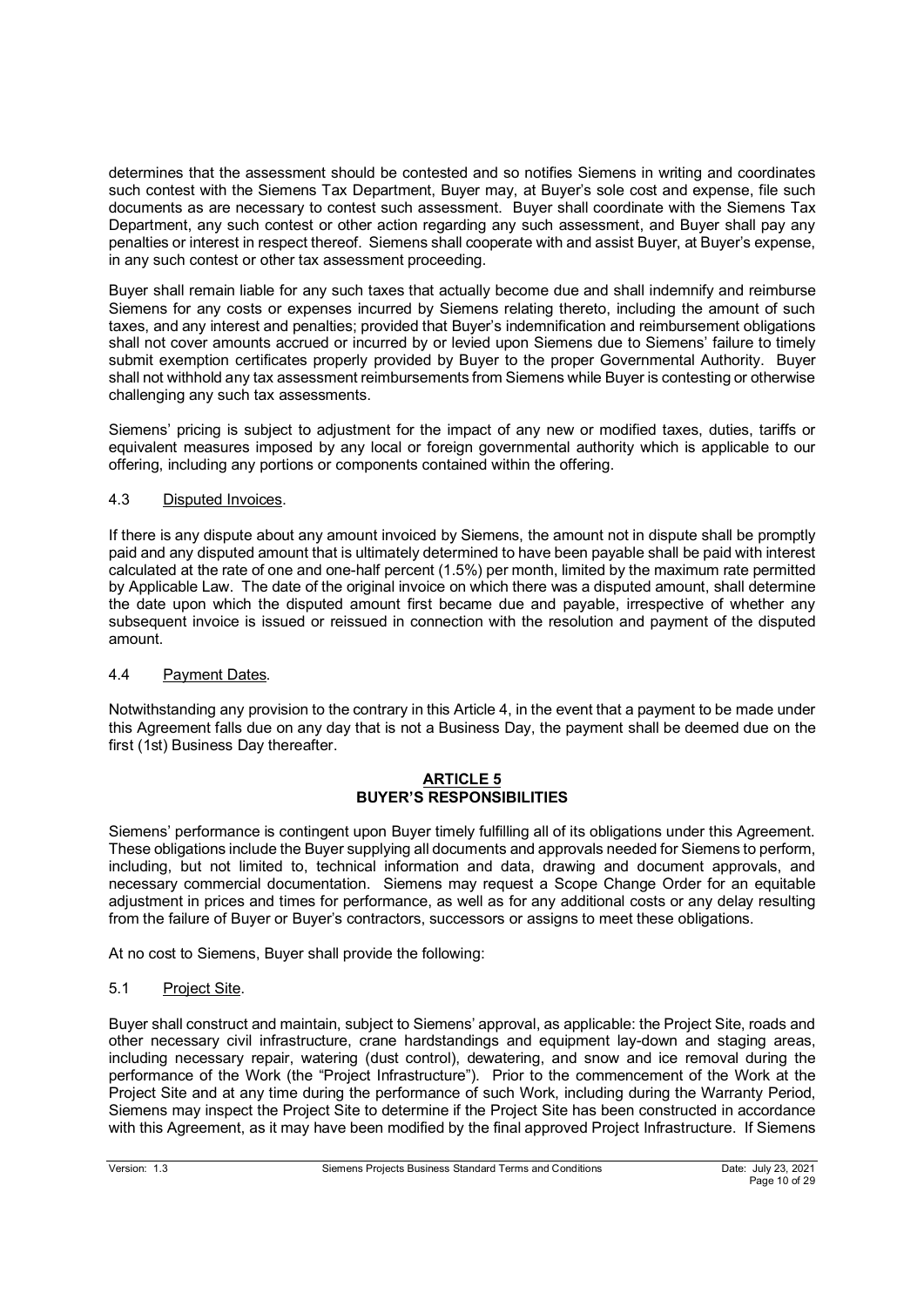determines that the assessment should be contested and so notifies Siemens in writing and coordinates such contest with the Siemens Tax Department, Buyer may, at Buyer's sole cost and expense, file such documents as are necessary to contest such assessment. Buyer shall coordinate with the Siemens Tax Department, any such contest or other action regarding any such assessment, and Buyer shall pay any penalties or interest in respect thereof. Siemens shall cooperate with and assist Buyer, at Buyer's expense, in any such contest or other tax assessment proceeding.

Buyer shall remain liable for any such taxes that actually become due and shall indemnify and reimburse Siemens for any costs or expenses incurred by Siemens relating thereto, including the amount of such taxes, and any interest and penalties; provided that Buyer's indemnification and reimbursement obligations shall not cover amounts accrued or incurred by or levied upon Siemens due to Siemens' failure to timely submit exemption certificates properly provided by Buyer to the proper Governmental Authority. Buyer shall not withhold any tax assessment reimbursements from Siemens while Buyer is contesting or otherwise challenging any such tax assessments.

Siemens' pricing is subject to adjustment for the impact of any new or modified taxes, duties, tariffs or equivalent measures imposed by any local or foreign governmental authority which is applicable to our offering, including any portions or components contained within the offering.

# 4.3 Disputed Invoices.

If there is any dispute about any amount invoiced by Siemens, the amount not in dispute shall be promptly paid and any disputed amount that is ultimately determined to have been payable shall be paid with interest calculated at the rate of one and one-half percent (1.5%) per month, limited by the maximum rate permitted by Applicable Law. The date of the original invoice on which there was a disputed amount, shall determine the date upon which the disputed amount first became due and payable, irrespective of whether any subsequent invoice is issued or reissued in connection with the resolution and payment of the disputed amount.

## 4.4 Payment Dates.

Notwithstanding any provision to the contrary in this Article 4, in the event that a payment to be made under this Agreement falls due on any day that is not a Business Day, the payment shall be deemed due on the first (1st) Business Day thereafter.

## **ARTICLE 5 BUYER'S RESPONSIBILITIES**

Siemens' performance is contingent upon Buyer timely fulfilling all of its obligations under this Agreement. These obligations include the Buyer supplying all documents and approvals needed for Siemens to perform, including, but not limited to, technical information and data, drawing and document approvals, and necessary commercial documentation. Siemens may request a Scope Change Order for an equitable adjustment in prices and times for performance, as well as for any additional costs or any delay resulting from the failure of Buyer or Buyer's contractors, successors or assigns to meet these obligations.

At no cost to Siemens, Buyer shall provide the following:

# 5.1 Project Site.

Buyer shall construct and maintain, subject to Siemens' approval, as applicable: the Project Site, roads and other necessary civil infrastructure, crane hardstandings and equipment lay-down and staging areas, including necessary repair, watering (dust control), dewatering, and snow and ice removal during the performance of the Work (the "Project Infrastructure"). Prior to the commencement of the Work at the Project Site and at any time during the performance of such Work, including during the Warranty Period, Siemens may inspect the Project Site to determine if the Project Site has been constructed in accordance with this Agreement, as it may have been modified by the final approved Project Infrastructure. If Siemens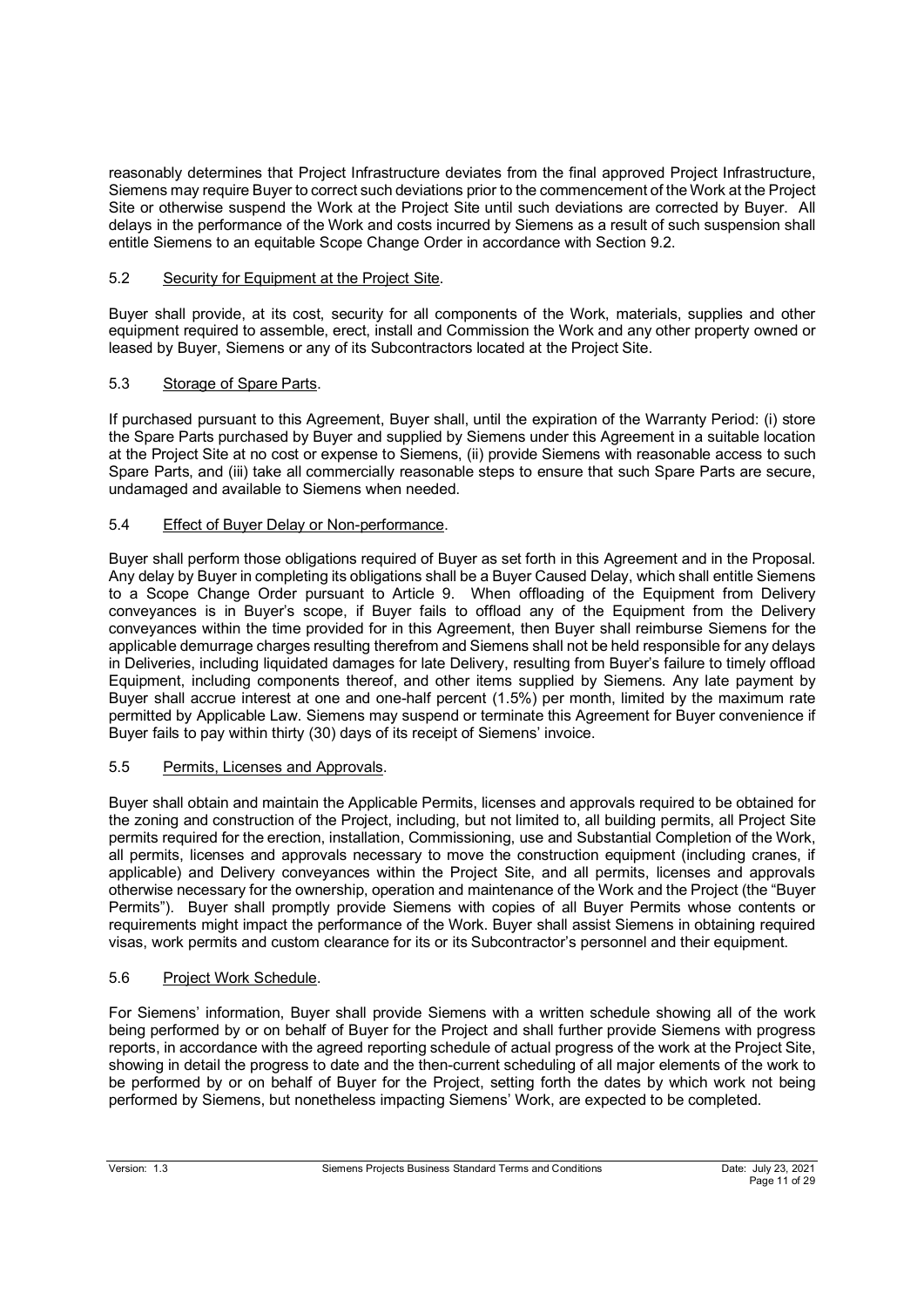reasonably determines that Project Infrastructure deviates from the final approved Project Infrastructure, Siemens may require Buyer to correct such deviations prior to the commencement of the Work at the Project Site or otherwise suspend the Work at the Project Site until such deviations are corrected by Buyer. All delays in the performance of the Work and costs incurred by Siemens as a result of such suspension shall entitle Siemens to an equitable Scope Change Order in accordance with Section 9.2.

# 5.2 Security for Equipment at the Project Site.

Buyer shall provide, at its cost, security for all components of the Work, materials, supplies and other equipment required to assemble, erect, install and Commission the Work and any other property owned or leased by Buyer, Siemens or any of its Subcontractors located at the Project Site.

# 5.3 Storage of Spare Parts.

If purchased pursuant to this Agreement, Buyer shall, until the expiration of the Warranty Period: (i) store the Spare Parts purchased by Buyer and supplied by Siemens under this Agreement in a suitable location at the Project Site at no cost or expense to Siemens, (ii) provide Siemens with reasonable access to such Spare Parts, and (iii) take all commercially reasonable steps to ensure that such Spare Parts are secure, undamaged and available to Siemens when needed.

# 5.4 Effect of Buyer Delay or Non-performance.

Buyer shall perform those obligations required of Buyer as set forth in this Agreement and in the Proposal. Any delay by Buyer in completing its obligations shall be a Buyer Caused Delay, which shall entitle Siemens to a Scope Change Order pursuant to Article 9. When offloading of the Equipment from Delivery conveyances is in Buyer's scope, if Buyer fails to offload any of the Equipment from the Delivery conveyances within the time provided for in this Agreement, then Buyer shall reimburse Siemens for the applicable demurrage charges resulting therefrom and Siemens shall not be held responsible for any delays in Deliveries, including liquidated damages for late Delivery, resulting from Buyer's failure to timely offload Equipment, including components thereof, and other items supplied by Siemens. Any late payment by Buyer shall accrue interest at one and one-half percent (1.5%) per month, limited by the maximum rate permitted by Applicable Law. Siemens may suspend or terminate this Agreement for Buyer convenience if Buyer fails to pay within thirty (30) days of its receipt of Siemens' invoice.

## 5.5 Permits, Licenses and Approvals.

Buyer shall obtain and maintain the Applicable Permits, licenses and approvals required to be obtained for the zoning and construction of the Project, including, but not limited to, all building permits, all Project Site permits required for the erection, installation, Commissioning, use and Substantial Completion of the Work, all permits, licenses and approvals necessary to move the construction equipment (including cranes, if applicable) and Delivery conveyances within the Project Site, and all permits, licenses and approvals otherwise necessary for the ownership, operation and maintenance of the Work and the Project (the "Buyer Permits"). Buyer shall promptly provide Siemens with copies of all Buyer Permits whose contents or requirements might impact the performance of the Work. Buyer shall assist Siemens in obtaining required visas, work permits and custom clearance for its or its Subcontractor's personnel and their equipment.

## 5.6 Project Work Schedule.

For Siemens' information, Buyer shall provide Siemens with a written schedule showing all of the work being performed by or on behalf of Buyer for the Project and shall further provide Siemens with progress reports, in accordance with the agreed reporting schedule of actual progress of the work at the Project Site, showing in detail the progress to date and the then-current scheduling of all major elements of the work to be performed by or on behalf of Buyer for the Project, setting forth the dates by which work not being performed by Siemens, but nonetheless impacting Siemens' Work, are expected to be completed.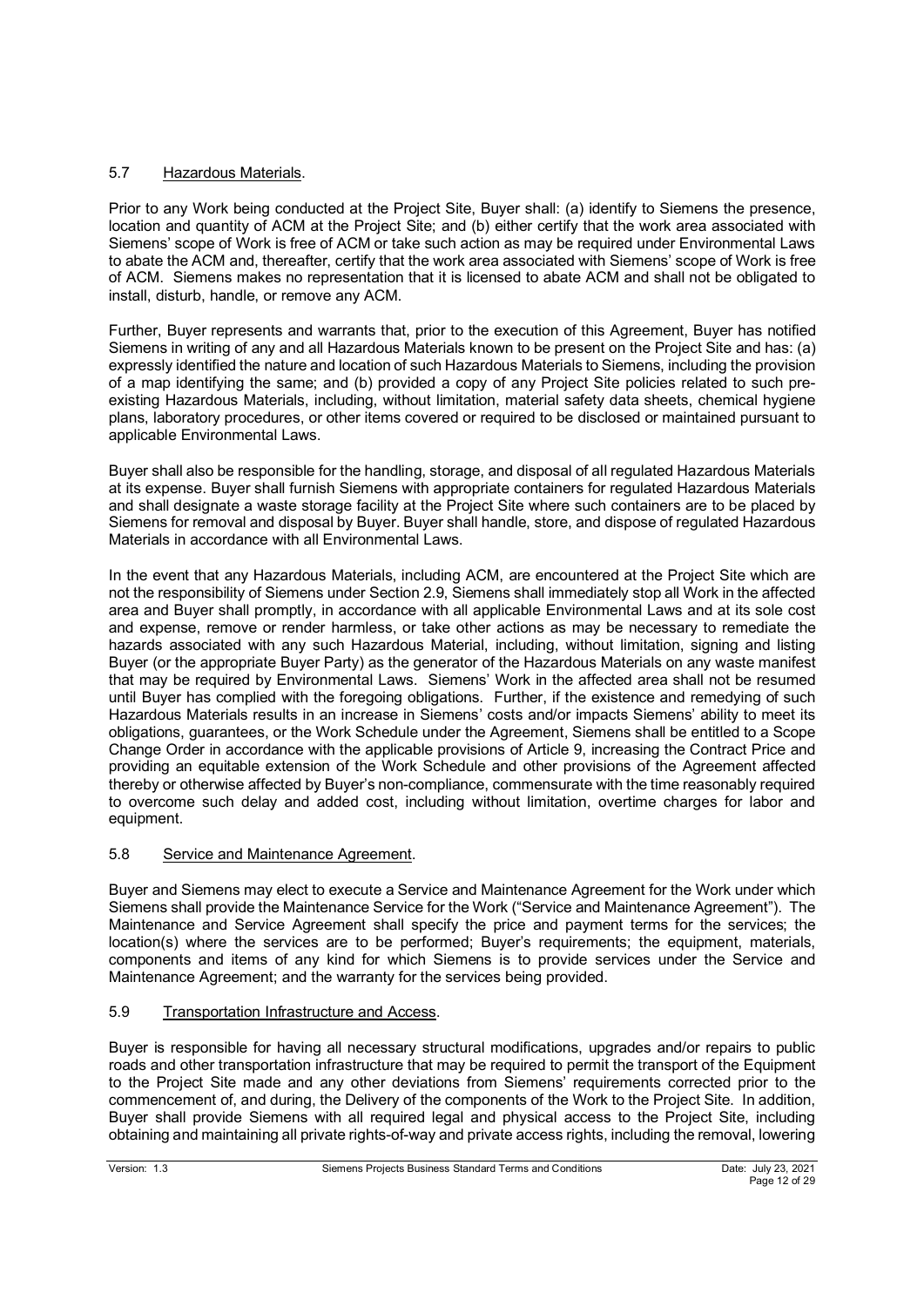# 5.7 Hazardous Materials.

Prior to any Work being conducted at the Project Site, Buyer shall: (a) identify to Siemens the presence, location and quantity of ACM at the Project Site; and (b) either certify that the work area associated with Siemens' scope of Work is free of ACM or take such action as may be required under Environmental Laws to abate the ACM and, thereafter, certify that the work area associated with Siemens' scope of Work is free of ACM. Siemens makes no representation that it is licensed to abate ACM and shall not be obligated to install, disturb, handle, or remove any ACM.

Further, Buyer represents and warrants that, prior to the execution of this Agreement, Buyer has notified Siemens in writing of any and all Hazardous Materials known to be present on the Project Site and has: (a) expressly identified the nature and location of such Hazardous Materials to Siemens, including the provision of a map identifying the same; and (b) provided a copy of any Project Site policies related to such preexisting Hazardous Materials, including, without limitation, material safety data sheets, chemical hygiene plans, laboratory procedures, or other items covered or required to be disclosed or maintained pursuant to applicable Environmental Laws.

Buyer shall also be responsible for the handling, storage, and disposal of all regulated Hazardous Materials at its expense. Buyer shall furnish Siemens with appropriate containers for regulated Hazardous Materials and shall designate a waste storage facility at the Project Site where such containers are to be placed by Siemens for removal and disposal by Buyer. Buyer shall handle, store, and dispose of regulated Hazardous Materials in accordance with all Environmental Laws.

In the event that any Hazardous Materials, including ACM, are encountered at the Project Site which are not the responsibility of Siemens under Section 2.9, Siemens shall immediately stop all Work in the affected area and Buyer shall promptly, in accordance with all applicable Environmental Laws and at its sole cost and expense, remove or render harmless, or take other actions as may be necessary to remediate the hazards associated with any such Hazardous Material, including, without limitation, signing and listing Buyer (or the appropriate Buyer Party) as the generator of the Hazardous Materials on any waste manifest that may be required by Environmental Laws. Siemens' Work in the affected area shall not be resumed until Buyer has complied with the foregoing obligations. Further, if the existence and remedying of such Hazardous Materials results in an increase in Siemens' costs and/or impacts Siemens' ability to meet its obligations, guarantees, or the Work Schedule under the Agreement, Siemens shall be entitled to a Scope Change Order in accordance with the applicable provisions of Article 9, increasing the Contract Price and providing an equitable extension of the Work Schedule and other provisions of the Agreement affected thereby or otherwise affected by Buyer's non-compliance, commensurate with the time reasonably required to overcome such delay and added cost, including without limitation, overtime charges for labor and equipment.

## 5.8 Service and Maintenance Agreement.

Buyer and Siemens may elect to execute a Service and Maintenance Agreement for the Work under which Siemens shall provide the Maintenance Service for the Work ("Service and Maintenance Agreement"). The Maintenance and Service Agreement shall specify the price and payment terms for the services; the location(s) where the services are to be performed; Buyer's requirements; the equipment, materials, components and items of any kind for which Siemens is to provide services under the Service and Maintenance Agreement; and the warranty for the services being provided.

## 5.9 Transportation Infrastructure and Access.

Buyer is responsible for having all necessary structural modifications, upgrades and/or repairs to public roads and other transportation infrastructure that may be required to permit the transport of the Equipment to the Project Site made and any other deviations from Siemens' requirements corrected prior to the commencement of, and during, the Delivery of the components of the Work to the Project Site. In addition, Buyer shall provide Siemens with all required legal and physical access to the Project Site, including obtaining and maintaining all private rights-of-way and private access rights, including the removal, lowering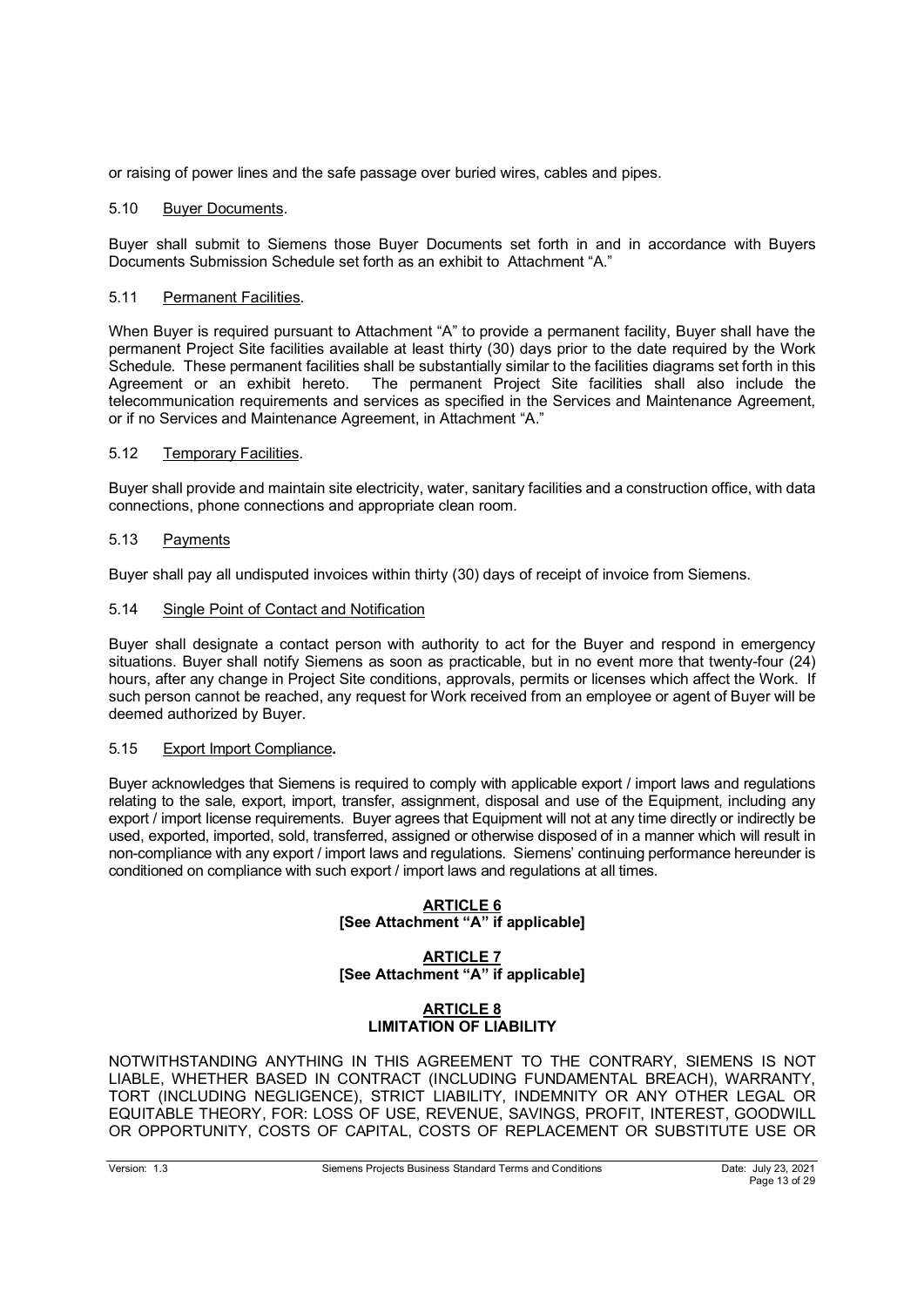or raising of power lines and the safe passage over buried wires, cables and pipes.

## 5.10 Buyer Documents.

Buyer shall submit to Siemens those Buyer Documents set forth in and in accordance with Buyers Documents Submission Schedule set forth as an exhibit to Attachment "A."

### 5.11 Permanent Facilities.

When Buyer is required pursuant to Attachment "A" to provide a permanent facility, Buyer shall have the permanent Project Site facilities available at least thirty (30) days prior to the date required by the Work Schedule. These permanent facilities shall be substantially similar to the facilities diagrams set forth in this Agreement or an exhibit hereto. The permanent Project Site facilities shall also include the telecommunication requirements and services as specified in the Services and Maintenance Agreement, or if no Services and Maintenance Agreement, in Attachment "A."

## 5.12 Temporary Facilities.

Buyer shall provide and maintain site electricity, water, sanitary facilities and a construction office, with data connections, phone connections and appropriate clean room.

## 5.13 Payments

Buyer shall pay all undisputed invoices within thirty (30) days of receipt of invoice from Siemens.

## 5.14 Single Point of Contact and Notification

Buyer shall designate a contact person with authority to act for the Buyer and respond in emergency situations. Buyer shall notify Siemens as soon as practicable, but in no event more that twenty-four (24) hours, after any change in Project Site conditions, approvals, permits or licenses which affect the Work. If such person cannot be reached, any request for Work received from an employee or agent of Buyer will be deemed authorized by Buyer.

### 5.15 Export Import Compliance**.**

Buyer acknowledges that Siemens is required to comply with applicable export / import laws and regulations relating to the sale, export, import, transfer, assignment, disposal and use of the Equipment, including any export / import license requirements. Buyer agrees that Equipment will not at any time directly or indirectly be used, exported, imported, sold, transferred, assigned or otherwise disposed of in a manner which will result in non-compliance with any export / import laws and regulations. Siemens' continuing performance hereunder is conditioned on compliance with such export / import laws and regulations at all times.

### **ARTICLE 6 [See Attachment "A" if applicable]**

**ARTICLE 7 [See Attachment "A" if applicable]**

## **ARTICLE 8 LIMITATION OF LIABILITY**

NOTWITHSTANDING ANYTHING IN THIS AGREEMENT TO THE CONTRARY, SIEMENS IS NOT LIABLE, WHETHER BASED IN CONTRACT (INCLUDING FUNDAMENTAL BREACH), WARRANTY, TORT (INCLUDING NEGLIGENCE), STRICT LIABILITY, INDEMNITY OR ANY OTHER LEGAL OR EQUITABLE THEORY, FOR: LOSS OF USE, REVENUE, SAVINGS, PROFIT, INTEREST, GOODWILL OR OPPORTUNITY, COSTS OF CAPITAL, COSTS OF REPLACEMENT OR SUBSTITUTE USE OR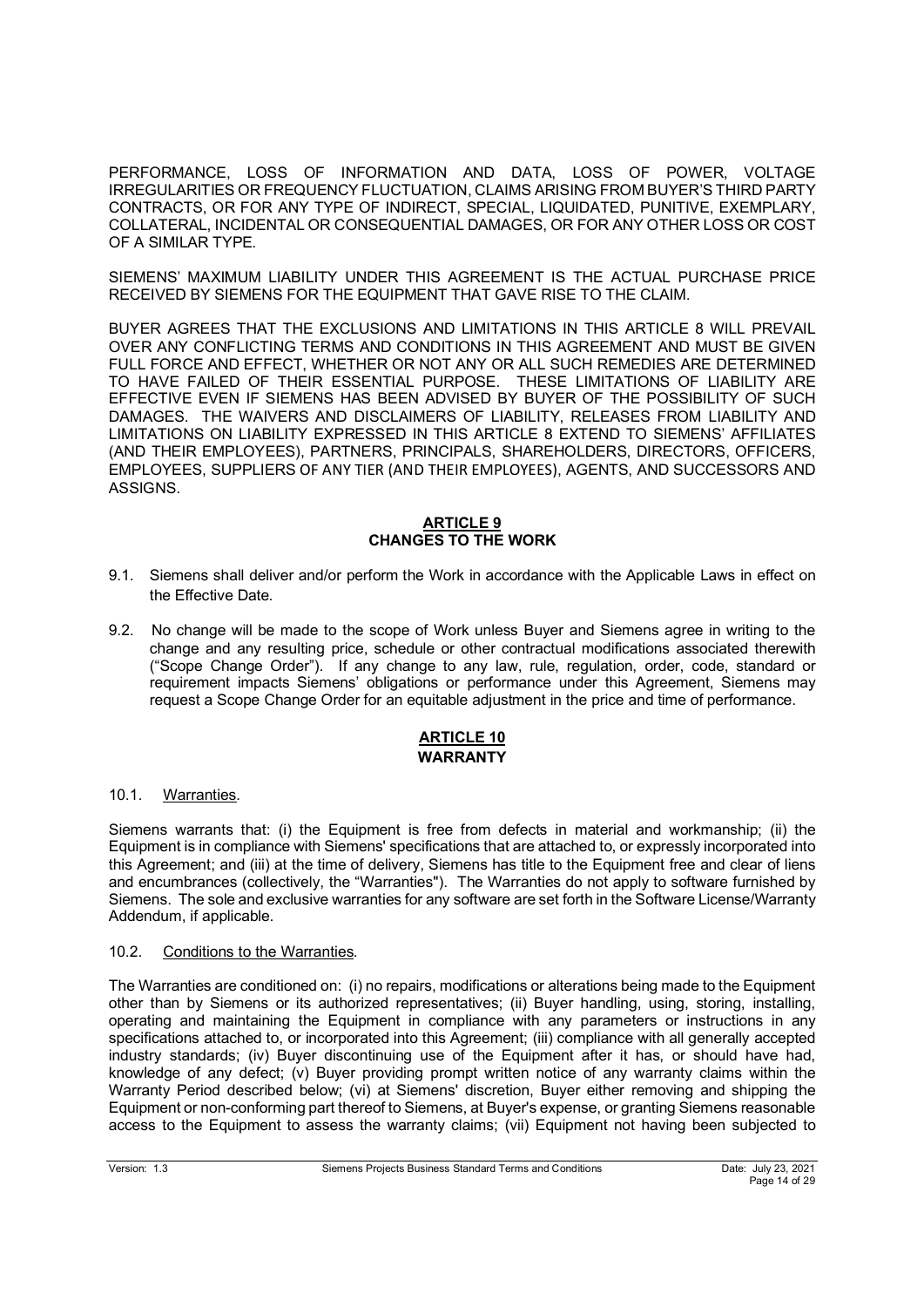PERFORMANCE, LOSS OF INFORMATION AND DATA, LOSS OF POWER, VOLTAGE IRREGULARITIES OR FREQUENCY FLUCTUATION, CLAIMS ARISING FROM BUYER'S THIRD PARTY CONTRACTS, OR FOR ANY TYPE OF INDIRECT, SPECIAL, LIQUIDATED, PUNITIVE, EXEMPLARY, COLLATERAL, INCIDENTAL OR CONSEQUENTIAL DAMAGES, OR FOR ANY OTHER LOSS OR COST OF A SIMILAR TYPE.

SIEMENS' MAXIMUM LIABILITY UNDER THIS AGREEMENT IS THE ACTUAL PURCHASE PRICE RECEIVED BY SIEMENS FOR THE EQUIPMENT THAT GAVE RISE TO THE CLAIM.

BUYER AGREES THAT THE EXCLUSIONS AND LIMITATIONS IN THIS ARTICLE 8 WILL PREVAIL OVER ANY CONFLICTING TERMS AND CONDITIONS IN THIS AGREEMENT AND MUST BE GIVEN FULL FORCE AND EFFECT, WHETHER OR NOT ANY OR ALL SUCH REMEDIES ARE DETERMINED TO HAVE FAILED OF THEIR ESSENTIAL PURPOSE. THESE LIMITATIONS OF LIABILITY ARE EFFECTIVE EVEN IF SIEMENS HAS BEEN ADVISED BY BUYER OF THE POSSIBILITY OF SUCH DAMAGES. THE WAIVERS AND DISCLAIMERS OF LIABILITY, RELEASES FROM LIABILITY AND LIMITATIONS ON LIABILITY EXPRESSED IN THIS ARTICLE 8 EXTEND TO SIEMENS' AFFILIATES (AND THEIR EMPLOYEES), PARTNERS, PRINCIPALS, SHAREHOLDERS, DIRECTORS, OFFICERS, EMPLOYEES, SUPPLIERS OF ANY TIER (AND THEIR EMPLOYEES), AGENTS, AND SUCCESSORS AND ASSIGNS.

## **ARTICLE 9 CHANGES TO THE WORK**

- 9.1. Siemens shall deliver and/or perform the Work in accordance with the Applicable Laws in effect on the Effective Date.
- 9.2. No change will be made to the scope of Work unless Buyer and Siemens agree in writing to the change and any resulting price, schedule or other contractual modifications associated therewith ("Scope Change Order"). If any change to any law, rule, regulation, order, code, standard or requirement impacts Siemens' obligations or performance under this Agreement, Siemens may request a Scope Change Order for an equitable adjustment in the price and time of performance.

# **ARTICLE 10 WARRANTY**

## 10.1. Warranties*.*

Siemens warrants that: (i) the Equipment is free from defects in material and workmanship; (ii) the Equipment is in compliance with Siemens' specifications that are attached to, or expressly incorporated into this Agreement; and (iii) at the time of delivery, Siemens has title to the Equipment free and clear of liens and encumbrances (collectively, the "Warranties"). The Warranties do not apply to software furnished by Siemens. The sole and exclusive warranties for any software are set forth in the Software License/Warranty Addendum, if applicable.

### 10.2. Conditions to the Warranties*.*

The Warranties are conditioned on: (i) no repairs, modifications or alterations being made to the Equipment other than by Siemens or its authorized representatives; (ii) Buyer handling, using, storing, installing, operating and maintaining the Equipment in compliance with any parameters or instructions in any specifications attached to, or incorporated into this Agreement; (iii) compliance with all generally accepted industry standards; (iv) Buyer discontinuing use of the Equipment after it has, or should have had, knowledge of any defect; (v) Buyer providing prompt written notice of any warranty claims within the Warranty Period described below; (vi) at Siemens' discretion, Buyer either removing and shipping the Equipment or non-conforming part thereof to Siemens, at Buyer's expense, or granting Siemens reasonable access to the Equipment to assess the warranty claims; (vii) Equipment not having been subjected to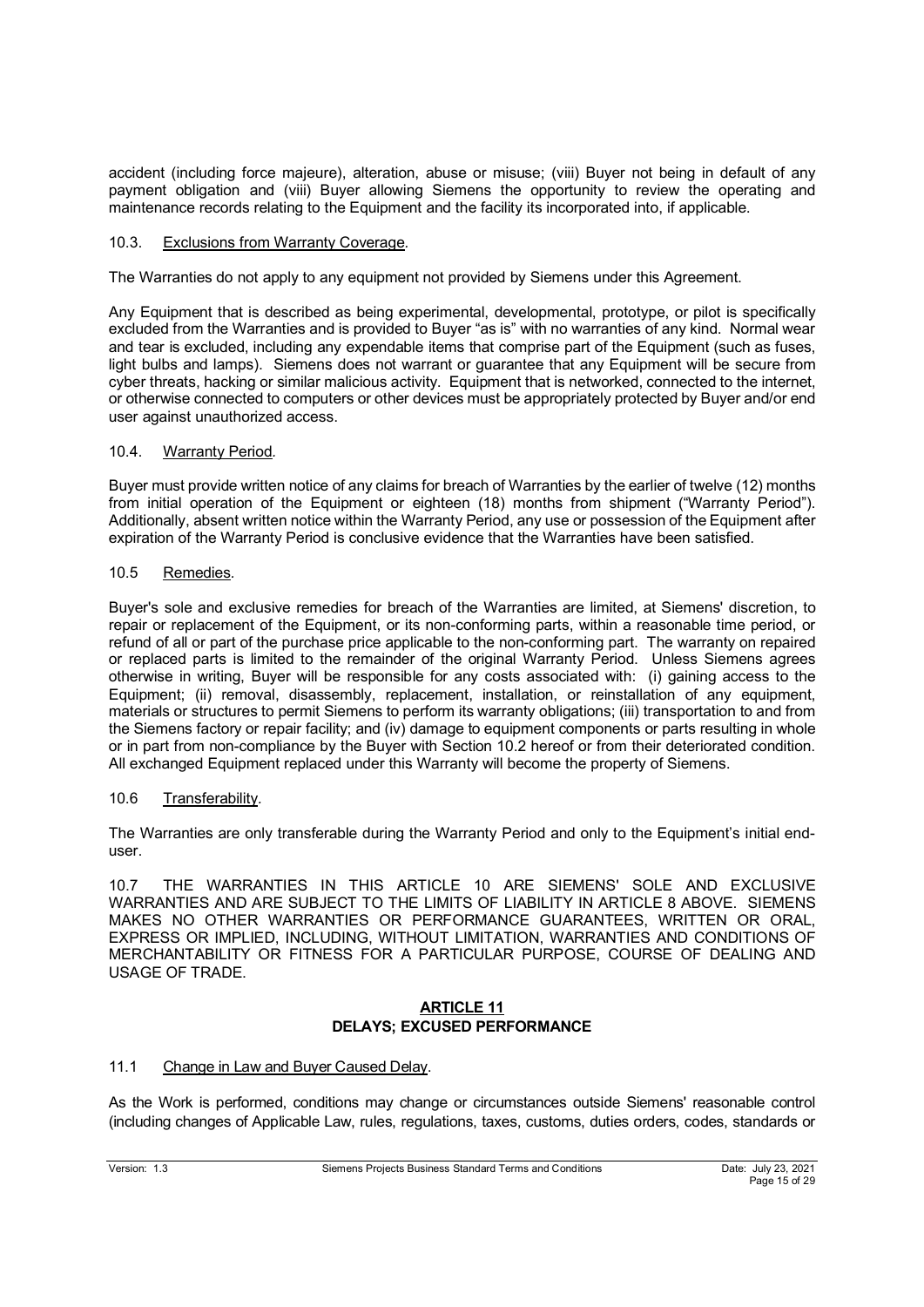accident (including force majeure), alteration, abuse or misuse; (viii) Buyer not being in default of any payment obligation and (viii) Buyer allowing Siemens the opportunity to review the operating and maintenance records relating to the Equipment and the facility its incorporated into, if applicable.

## 10.3. Exclusions from Warranty Coverage*.*

The Warranties do not apply to any equipment not provided by Siemens under this Agreement.

Any Equipment that is described as being experimental, developmental, prototype, or pilot is specifically excluded from the Warranties and is provided to Buyer "as is" with no warranties of any kind. Normal wear and tear is excluded, including any expendable items that comprise part of the Equipment (such as fuses, light bulbs and lamps). Siemens does not warrant or guarantee that any Equipment will be secure from cyber threats, hacking or similar malicious activity. Equipment that is networked, connected to the internet, or otherwise connected to computers or other devices must be appropriately protected by Buyer and/or end user against unauthorized access.

## 10.4. Warranty Period*.*

Buyer must provide written notice of any claims for breach of Warranties by the earlier of twelve (12) months from initial operation of the Equipment or eighteen (18) months from shipment ("Warranty Period"). Additionally, absent written notice within the Warranty Period, any use or possession of the Equipment after expiration of the Warranty Period is conclusive evidence that the Warranties have been satisfied.

## 10.5 Remedies*.*

Buyer's sole and exclusive remedies for breach of the Warranties are limited, at Siemens' discretion, to repair or replacement of the Equipment, or its non-conforming parts, within a reasonable time period, or refund of all or part of the purchase price applicable to the non-conforming part. The warranty on repaired or replaced parts is limited to the remainder of the original Warranty Period. Unless Siemens agrees otherwise in writing, Buyer will be responsible for any costs associated with: (i) gaining access to the Equipment; (ii) removal, disassembly, replacement, installation, or reinstallation of any equipment, materials or structures to permit Siemens to perform its warranty obligations; (iii) transportation to and from the Siemens factory or repair facility; and (iv) damage to equipment components or parts resulting in whole or in part from non-compliance by the Buyer with Section 10.2 hereof or from their deteriorated condition. All exchanged Equipment replaced under this Warranty will become the property of Siemens.

## 10.6 Transferability*.*

The Warranties are only transferable during the Warranty Period and only to the Equipment's initial enduser.

10.7 THE WARRANTIES IN THIS ARTICLE 10 ARE SIEMENS' SOLE AND EXCLUSIVE WARRANTIES AND ARE SUBJECT TO THE LIMITS OF LIABILITY IN ARTICLE 8 ABOVE. SIEMENS MAKES NO OTHER WARRANTIES OR PERFORMANCE GUARANTEES, WRITTEN OR ORAL, EXPRESS OR IMPLIED, INCLUDING, WITHOUT LIMITATION, WARRANTIES AND CONDITIONS OF MERCHANTABILITY OR FITNESS FOR A PARTICULAR PURPOSE, COURSE OF DEALING AND USAGE OF TRADE.

## **ARTICLE 11 DELAYS; EXCUSED PERFORMANCE**

### 11.1 Change in Law and Buyer Caused Delay.

As the Work is performed, conditions may change or circumstances outside Siemens' reasonable control (including changes of Applicable Law, rules, regulations, taxes, customs, duties orders, codes, standards or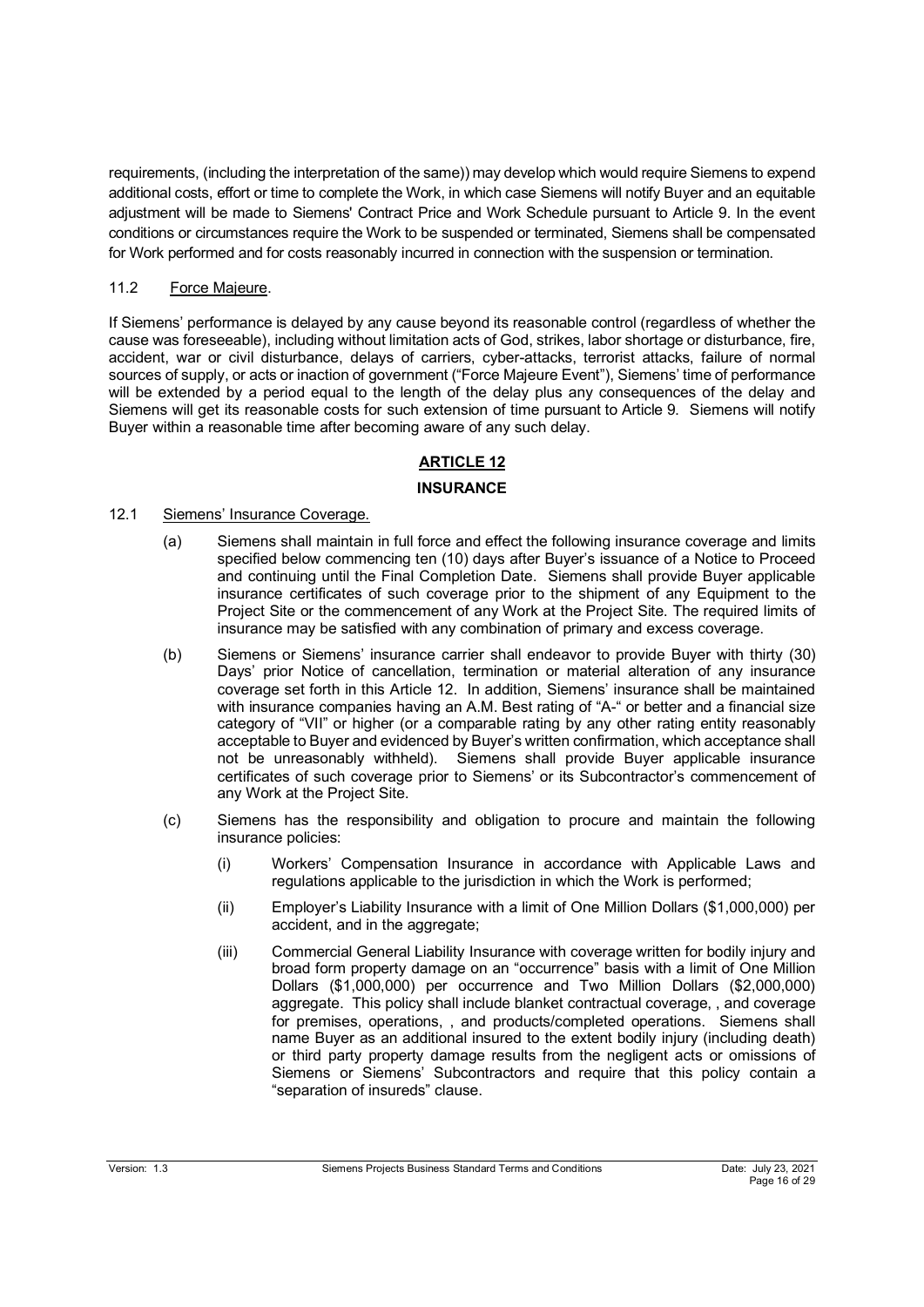requirements, (including the interpretation of the same)) may develop which would require Siemens to expend additional costs, effort or time to complete the Work, in which case Siemens will notify Buyer and an equitable adjustment will be made to Siemens' Contract Price and Work Schedule pursuant to Article 9. In the event conditions or circumstances require the Work to be suspended or terminated, Siemens shall be compensated for Work performed and for costs reasonably incurred in connection with the suspension or termination.

# 11.2 Force Majeure.

If Siemens' performance is delayed by any cause beyond its reasonable control (regardless of whether the cause was foreseeable), including without limitation acts of God, strikes, labor shortage or disturbance, fire, accident, war or civil disturbance, delays of carriers, cyber-attacks, terrorist attacks, failure of normal sources of supply, or acts or inaction of government ("Force Majeure Event"), Siemens' time of performance will be extended by a period equal to the length of the delay plus any consequences of the delay and Siemens will get its reasonable costs for such extension of time pursuant to Article 9. Siemens will notify Buyer within a reasonable time after becoming aware of any such delay.

# **ARTICLE 12**

## **INSURANCE**

# 12.1 Siemens' Insurance Coverage.

- (a) Siemens shall maintain in full force and effect the following insurance coverage and limits specified below commencing ten (10) days after Buyer's issuance of a Notice to Proceed and continuing until the Final Completion Date. Siemens shall provide Buyer applicable insurance certificates of such coverage prior to the shipment of any Equipment to the Project Site or the commencement of any Work at the Project Site. The required limits of insurance may be satisfied with any combination of primary and excess coverage.
- (b) Siemens or Siemens' insurance carrier shall endeavor to provide Buyer with thirty (30) Days' prior Notice of cancellation, termination or material alteration of any insurance coverage set forth in this Article 12. In addition, Siemens' insurance shall be maintained with insurance companies having an A.M. Best rating of "A-" or better and a financial size category of "VII" or higher (or a comparable rating by any other rating entity reasonably acceptable to Buyer and evidenced by Buyer's written confirmation, which acceptance shall not be unreasonably withheld). Siemens shall provide Buyer applicable insurance certificates of such coverage prior to Siemens' or its Subcontractor's commencement of any Work at the Project Site.
- (c) Siemens has the responsibility and obligation to procure and maintain the following insurance policies:
	- (i) Workers' Compensation Insurance in accordance with Applicable Laws and regulations applicable to the jurisdiction in which the Work is performed;
	- (ii) Employer's Liability Insurance with a limit of One Million Dollars (\$1,000,000) per accident, and in the aggregate;
	- (iii) Commercial General Liability Insurance with coverage written for bodily injury and broad form property damage on an "occurrence" basis with a limit of One Million Dollars (\$1,000,000) per occurrence and Two Million Dollars (\$2,000,000) aggregate. This policy shall include blanket contractual coverage, , and coverage for premises, operations, , and products/completed operations. Siemens shall name Buyer as an additional insured to the extent bodily injury (including death) or third party property damage results from the negligent acts or omissions of Siemens or Siemens' Subcontractors and require that this policy contain a "separation of insureds" clause.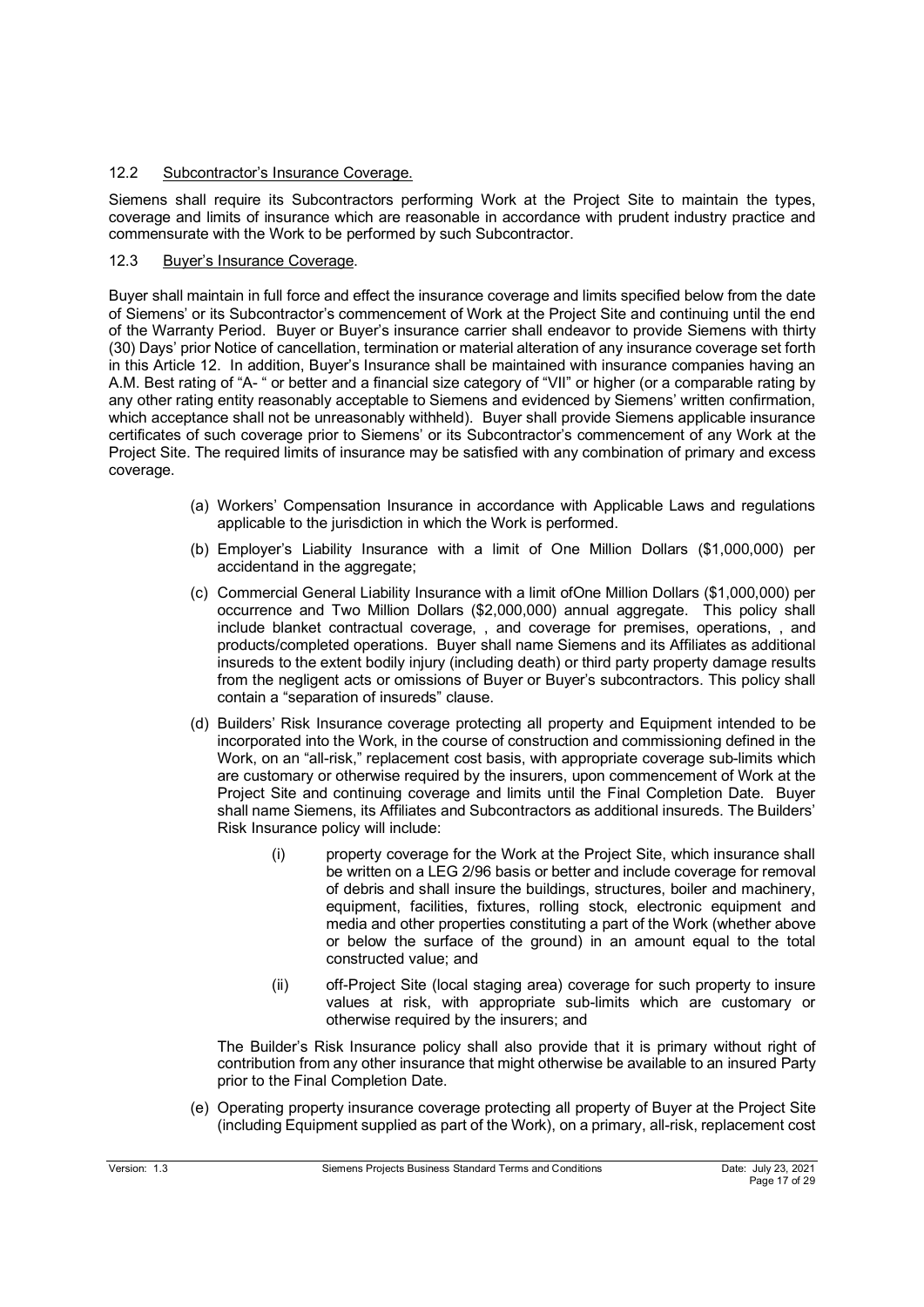# 12.2 Subcontractor's Insurance Coverage.

Siemens shall require its Subcontractors performing Work at the Project Site to maintain the types, coverage and limits of insurance which are reasonable in accordance with prudent industry practice and commensurate with the Work to be performed by such Subcontractor.

# 12.3 Buyer's Insurance Coverage.

Buyer shall maintain in full force and effect the insurance coverage and limits specified below from the date of Siemens' or its Subcontractor's commencement of Work at the Project Site and continuing until the end of the Warranty Period. Buyer or Buyer's insurance carrier shall endeavor to provide Siemens with thirty (30) Days' prior Notice of cancellation, termination or material alteration of any insurance coverage set forth in this Article 12. In addition, Buyer's Insurance shall be maintained with insurance companies having an A.M. Best rating of "A- " or better and a financial size category of "VII" or higher (or a comparable rating by any other rating entity reasonably acceptable to Siemens and evidenced by Siemens' written confirmation, which acceptance shall not be unreasonably withheld). Buyer shall provide Siemens applicable insurance certificates of such coverage prior to Siemens' or its Subcontractor's commencement of any Work at the Project Site. The required limits of insurance may be satisfied with any combination of primary and excess coverage.

- (a) Workers' Compensation Insurance in accordance with Applicable Laws and regulations applicable to the jurisdiction in which the Work is performed.
- (b) Employer's Liability Insurance with a limit of One Million Dollars (\$1,000,000) per accidentand in the aggregate:
- (c) Commercial General Liability Insurance with a limit ofOne Million Dollars (\$1,000,000) per occurrence and Two Million Dollars (\$2,000,000) annual aggregate. This policy shall include blanket contractual coverage, , and coverage for premises, operations, , and products/completed operations. Buyer shall name Siemens and its Affiliates as additional insureds to the extent bodily injury (including death) or third party property damage results from the negligent acts or omissions of Buyer or Buyer's subcontractors. This policy shall contain a "separation of insureds" clause.
- (d) Builders' Risk Insurance coverage protecting all property and Equipment intended to be incorporated into the Work, in the course of construction and commissioning defined in the Work, on an "all-risk," replacement cost basis, with appropriate coverage sub-limits which are customary or otherwise required by the insurers, upon commencement of Work at the Project Site and continuing coverage and limits until the Final Completion Date. Buyer shall name Siemens, its Affiliates and Subcontractors as additional insureds. The Builders' Risk Insurance policy will include:
	- (i) property coverage for the Work at the Project Site, which insurance shall be written on a LEG 2/96 basis or better and include coverage for removal of debris and shall insure the buildings, structures, boiler and machinery, equipment, facilities, fixtures, rolling stock, electronic equipment and media and other properties constituting a part of the Work (whether above or below the surface of the ground) in an amount equal to the total constructed value; and
	- (ii) off-Project Site (local staging area) coverage for such property to insure values at risk, with appropriate sub-limits which are customary or otherwise required by the insurers; and

The Builder's Risk Insurance policy shall also provide that it is primary without right of contribution from any other insurance that might otherwise be available to an insured Party prior to the Final Completion Date.

(e) Operating property insurance coverage protecting all property of Buyer at the Project Site (including Equipment supplied as part of the Work), on a primary, all-risk, replacement cost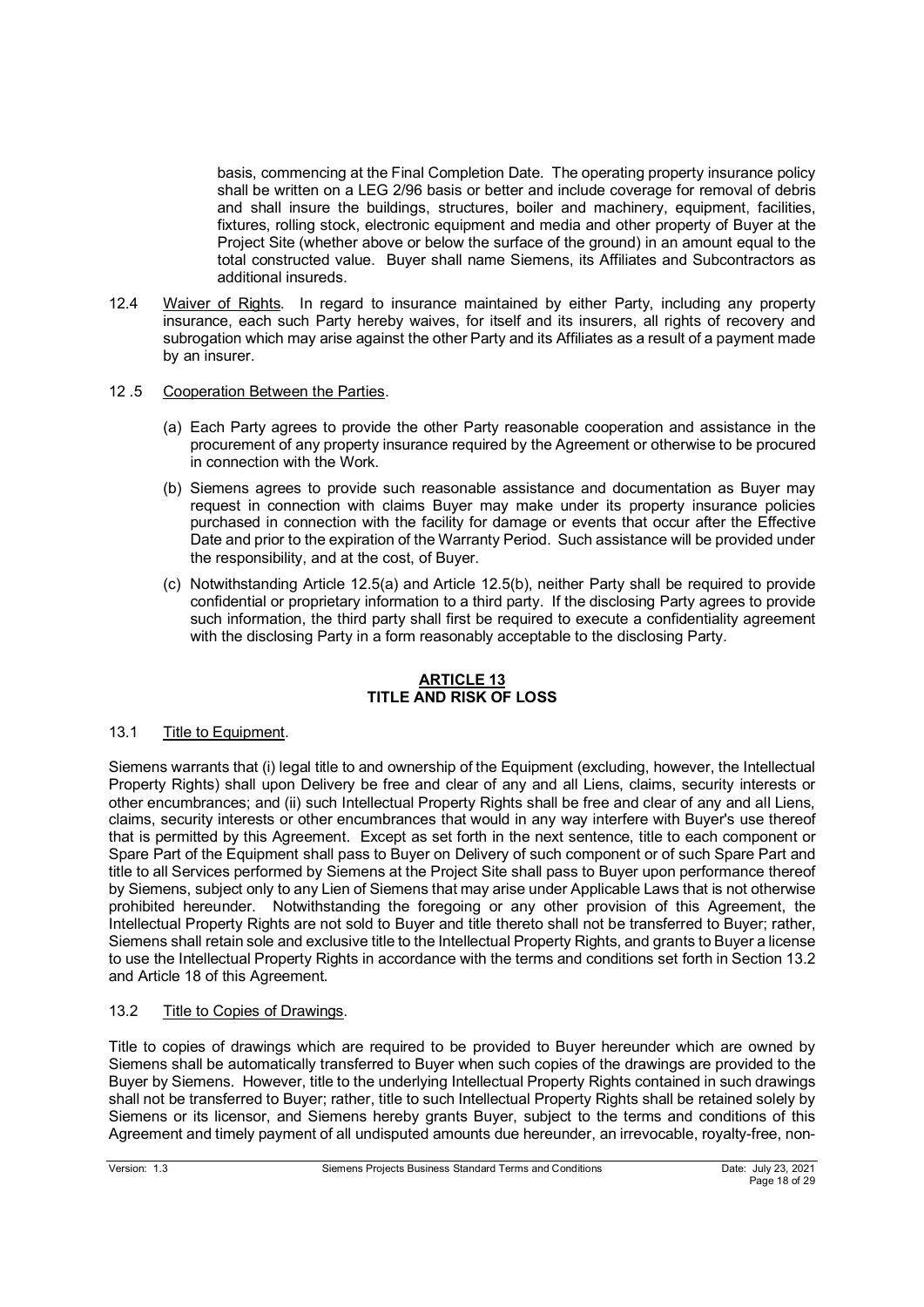basis, commencing at the Final Completion Date. The operating property insurance policy shall be written on a LEG 2/96 basis or better and include coverage for removal of debris and shall insure the buildings, structures, boiler and machinery, equipment, facilities, fixtures, rolling stock, electronic equipment and media and other property of Buyer at the Project Site (whether above or below the surface of the ground) in an amount equal to the total constructed value. Buyer shall name Siemens, its Affiliates and Subcontractors as additional insureds.

- 12.4 Waiver of Rights. In regard to insurance maintained by either Party, including any property insurance, each such Party hereby waives, for itself and its insurers, all rights of recovery and subrogation which may arise against the other Party and its Affiliates as a result of a payment made by an insurer.
- 12 .5 Cooperation Between the Parties.
	- (a) Each Party agrees to provide the other Party reasonable cooperation and assistance in the procurement of any property insurance required by the Agreement or otherwise to be procured in connection with the Work.
	- (b) Siemens agrees to provide such reasonable assistance and documentation as Buyer may request in connection with claims Buyer may make under its property insurance policies purchased in connection with the facility for damage or events that occur after the Effective Date and prior to the expiration of the Warranty Period. Such assistance will be provided under the responsibility, and at the cost, of Buyer.
	- (c) Notwithstanding Article 12.5(a) and Article 12.5(b), neither Party shall be required to provide confidential or proprietary information to a third party. If the disclosing Party agrees to provide such information, the third party shall first be required to execute a confidentiality agreement with the disclosing Party in a form reasonably acceptable to the disclosing Party.

# **ARTICLE 13 TITLE AND RISK OF LOSS**

# 13.1 Title to Equipment.

Siemens warrants that (i) legal title to and ownership of the Equipment (excluding, however, the Intellectual Property Rights) shall upon Delivery be free and clear of any and all Liens, claims, security interests or other encumbrances; and (ii) such Intellectual Property Rights shall be free and clear of any and all Liens, claims, security interests or other encumbrances that would in any way interfere with Buyer's use thereof that is permitted by this Agreement. Except as set forth in the next sentence, title to each component or Spare Part of the Equipment shall pass to Buyer on Delivery of such component or of such Spare Part and title to all Services performed by Siemens at the Project Site shall pass to Buyer upon performance thereof by Siemens, subject only to any Lien of Siemens that may arise under Applicable Laws that is not otherwise prohibited hereunder. Notwithstanding the foregoing or any other provision of this Agreement, the Intellectual Property Rights are not sold to Buyer and title thereto shall not be transferred to Buyer; rather, Siemens shall retain sole and exclusive title to the Intellectual Property Rights, and grants to Buyer a license to use the Intellectual Property Rights in accordance with the terms and conditions set forth in Section 13.2 and Article 18 of this Agreement.

# 13.2 Title to Copies of Drawings.

Title to copies of drawings which are required to be provided to Buyer hereunder which are owned by Siemens shall be automatically transferred to Buyer when such copies of the drawings are provided to the Buyer by Siemens. However, title to the underlying Intellectual Property Rights contained in such drawings shall not be transferred to Buyer; rather, title to such Intellectual Property Rights shall be retained solely by Siemens or its licensor, and Siemens hereby grants Buyer, subject to the terms and conditions of this Agreement and timely payment of all undisputed amounts due hereunder, an irrevocable, royalty-free, non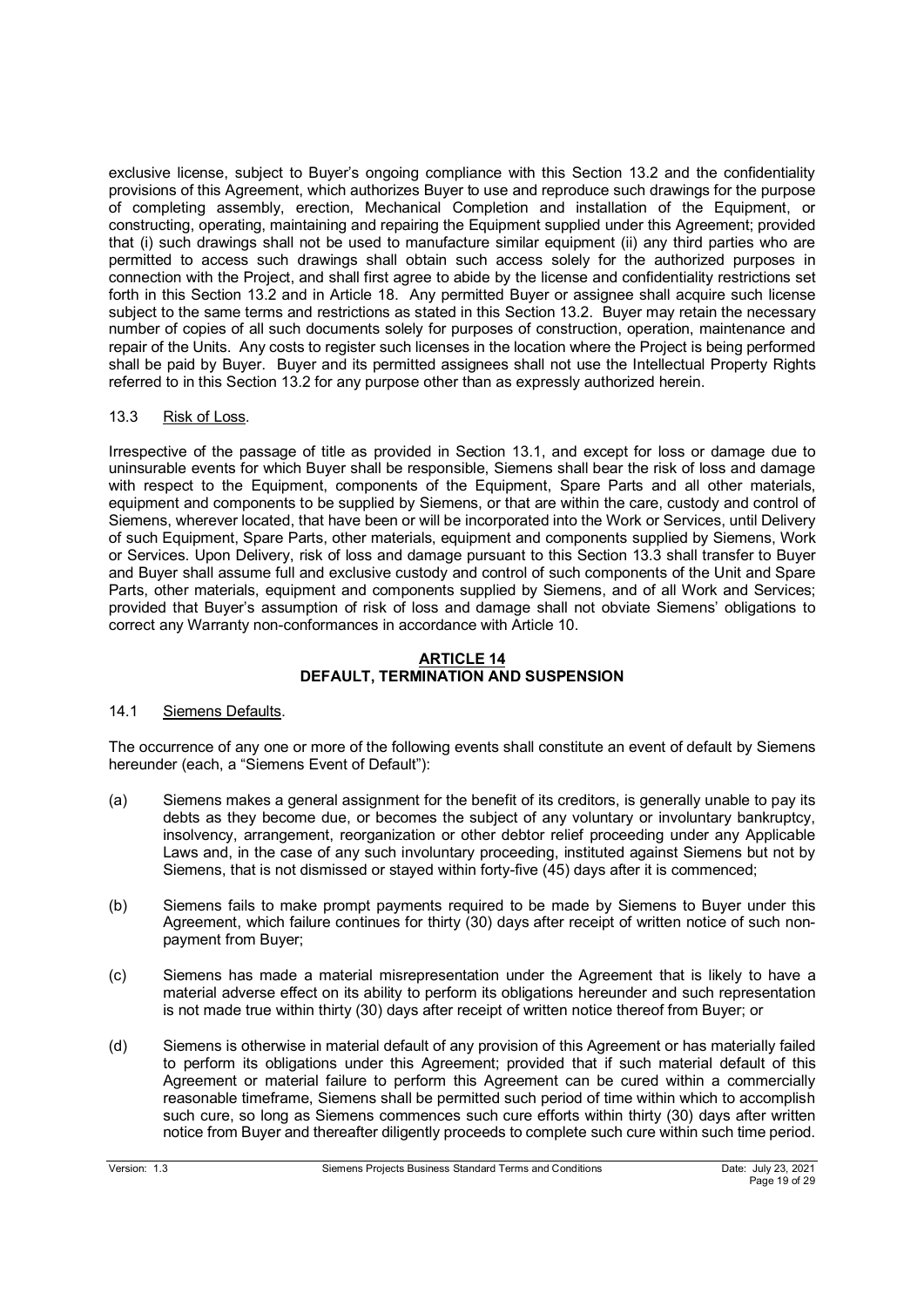exclusive license, subject to Buyer's ongoing compliance with this Section 13.2 and the confidentiality provisions of this Agreement, which authorizes Buyer to use and reproduce such drawings for the purpose of completing assembly, erection, Mechanical Completion and installation of the Equipment, or constructing, operating, maintaining and repairing the Equipment supplied under this Agreement; provided that (i) such drawings shall not be used to manufacture similar equipment (ii) any third parties who are permitted to access such drawings shall obtain such access solely for the authorized purposes in connection with the Project, and shall first agree to abide by the license and confidentiality restrictions set forth in this Section 13.2 and in Article 18. Any permitted Buyer or assignee shall acquire such license subject to the same terms and restrictions as stated in this Section 13.2. Buyer may retain the necessary number of copies of all such documents solely for purposes of construction, operation, maintenance and repair of the Units. Any costs to register such licenses in the location where the Project is being performed shall be paid by Buyer. Buyer and its permitted assignees shall not use the Intellectual Property Rights referred to in this Section 13.2 for any purpose other than as expressly authorized herein.

## 13.3 Risk of Loss.

Irrespective of the passage of title as provided in Section 13.1, and except for loss or damage due to uninsurable events for which Buyer shall be responsible, Siemens shall bear the risk of loss and damage with respect to the Equipment, components of the Equipment, Spare Parts and all other materials, equipment and components to be supplied by Siemens, or that are within the care, custody and control of Siemens, wherever located, that have been or will be incorporated into the Work or Services, until Delivery of such Equipment, Spare Parts, other materials, equipment and components supplied by Siemens, Work or Services. Upon Delivery, risk of loss and damage pursuant to this Section 13.3 shall transfer to Buyer and Buyer shall assume full and exclusive custody and control of such components of the Unit and Spare Parts, other materials, equipment and components supplied by Siemens, and of all Work and Services; provided that Buyer's assumption of risk of loss and damage shall not obviate Siemens' obligations to correct any Warranty non-conformances in accordance with Article 10.

## **ARTICLE 14 DEFAULT, TERMINATION AND SUSPENSION**

## 14.1 Siemens Defaults.

The occurrence of any one or more of the following events shall constitute an event of default by Siemens hereunder (each, a "Siemens Event of Default"):

- (a) Siemens makes a general assignment for the benefit of its creditors, is generally unable to pay its debts as they become due, or becomes the subject of any voluntary or involuntary bankruptcy, insolvency, arrangement, reorganization or other debtor relief proceeding under any Applicable Laws and, in the case of any such involuntary proceeding, instituted against Siemens but not by Siemens, that is not dismissed or stayed within forty-five (45) days after it is commenced;
- (b) Siemens fails to make prompt payments required to be made by Siemens to Buyer under this Agreement, which failure continues for thirty (30) days after receipt of written notice of such nonpayment from Buyer;
- (c) Siemens has made a material misrepresentation under the Agreement that is likely to have a material adverse effect on its ability to perform its obligations hereunder and such representation is not made true within thirty (30) days after receipt of written notice thereof from Buyer; or
- (d) Siemens is otherwise in material default of any provision of this Agreement or has materially failed to perform its obligations under this Agreement; provided that if such material default of this Agreement or material failure to perform this Agreement can be cured within a commercially reasonable timeframe, Siemens shall be permitted such period of time within which to accomplish such cure, so long as Siemens commences such cure efforts within thirty (30) days after written notice from Buyer and thereafter diligently proceeds to complete such cure within such time period.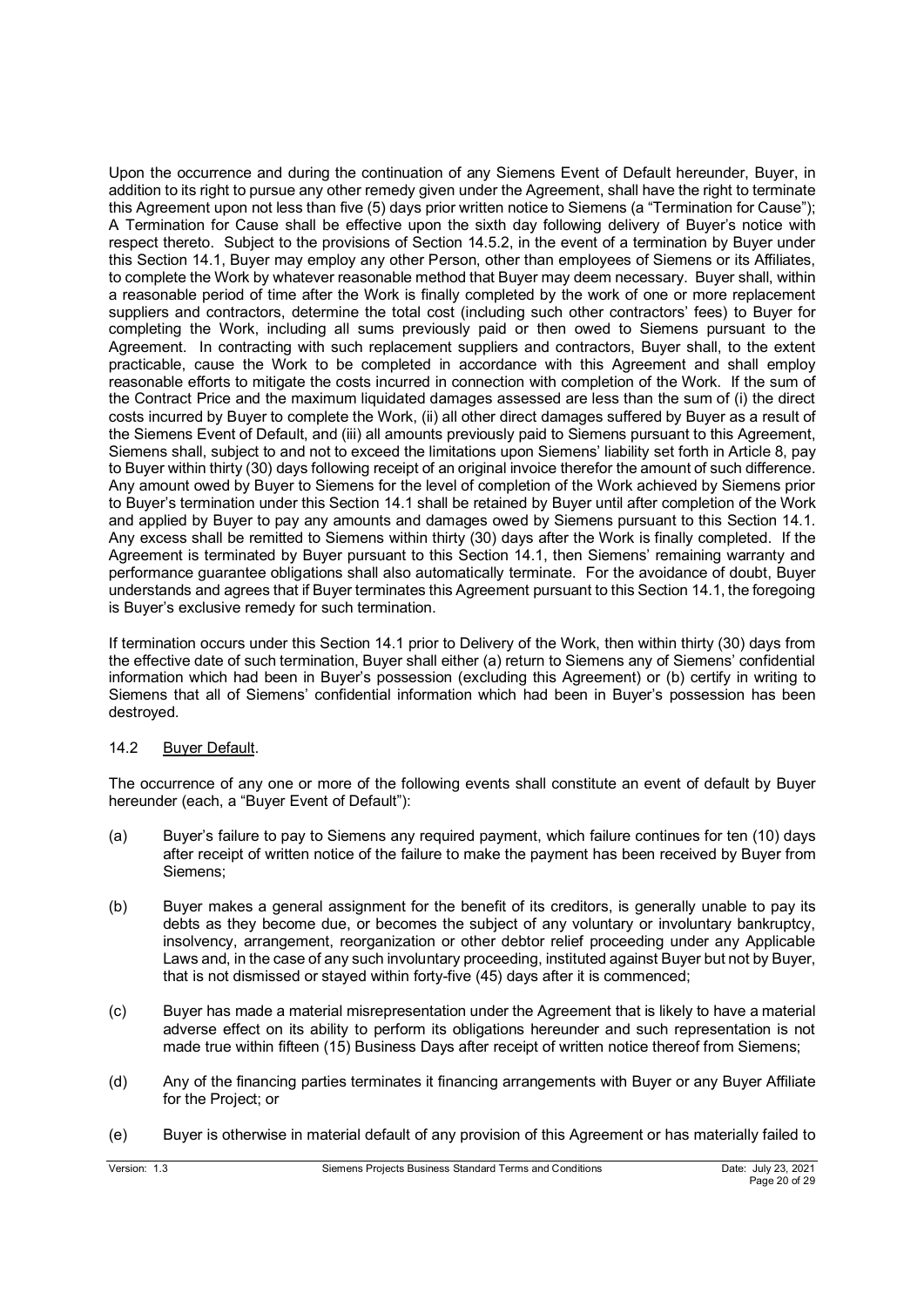Upon the occurrence and during the continuation of any Siemens Event of Default hereunder, Buyer, in addition to its right to pursue any other remedy given under the Agreement, shall have the right to terminate this Agreement upon not less than five (5) days prior written notice to Siemens (a "Termination for Cause"); A Termination for Cause shall be effective upon the sixth day following delivery of Buyer's notice with respect thereto. Subject to the provisions of Section 14.5.2, in the event of a termination by Buyer under this Section 14.1, Buyer may employ any other Person, other than employees of Siemens or its Affiliates, to complete the Work by whatever reasonable method that Buyer may deem necessary. Buyer shall, within a reasonable period of time after the Work is finally completed by the work of one or more replacement suppliers and contractors, determine the total cost (including such other contractors' fees) to Buyer for completing the Work, including all sums previously paid or then owed to Siemens pursuant to the Agreement. In contracting with such replacement suppliers and contractors, Buyer shall, to the extent practicable, cause the Work to be completed in accordance with this Agreement and shall employ reasonable efforts to mitigate the costs incurred in connection with completion of the Work. If the sum of the Contract Price and the maximum liquidated damages assessed are less than the sum of (i) the direct costs incurred by Buyer to complete the Work, (ii) all other direct damages suffered by Buyer as a result of the Siemens Event of Default, and (iii) all amounts previously paid to Siemens pursuant to this Agreement, Siemens shall, subject to and not to exceed the limitations upon Siemens' liability set forth in Article 8, pay to Buyer within thirty (30) days following receipt of an original invoice therefor the amount of such difference. Any amount owed by Buyer to Siemens for the level of completion of the Work achieved by Siemens prior to Buyer's termination under this Section 14.1 shall be retained by Buyer until after completion of the Work and applied by Buyer to pay any amounts and damages owed by Siemens pursuant to this Section 14.1. Any excess shall be remitted to Siemens within thirty (30) days after the Work is finally completed. If the Agreement is terminated by Buyer pursuant to this Section 14.1, then Siemens' remaining warranty and performance guarantee obligations shall also automatically terminate. For the avoidance of doubt, Buyer understands and agrees that if Buyer terminates this Agreement pursuant to this Section 14.1, the foregoing is Buyer's exclusive remedy for such termination.

If termination occurs under this Section 14.1 prior to Delivery of the Work, then within thirty (30) days from the effective date of such termination, Buyer shall either (a) return to Siemens any of Siemens' confidential information which had been in Buyer's possession (excluding this Agreement) or (b) certify in writing to Siemens that all of Siemens' confidential information which had been in Buyer's possession has been destroyed.

## 14.2 Buyer Default.

The occurrence of any one or more of the following events shall constitute an event of default by Buyer hereunder (each, a "Buyer Event of Default"):

- (a) Buyer's failure to pay to Siemens any required payment, which failure continues for ten (10) days after receipt of written notice of the failure to make the payment has been received by Buyer from Siemens;
- (b) Buyer makes a general assignment for the benefit of its creditors, is generally unable to pay its debts as they become due, or becomes the subject of any voluntary or involuntary bankruptcy, insolvency, arrangement, reorganization or other debtor relief proceeding under any Applicable Laws and, in the case of any such involuntary proceeding, instituted against Buyer but not by Buyer, that is not dismissed or stayed within forty-five (45) days after it is commenced;
- (c) Buyer has made a material misrepresentation under the Agreement that is likely to have a material adverse effect on its ability to perform its obligations hereunder and such representation is not made true within fifteen (15) Business Days after receipt of written notice thereof from Siemens;
- (d) Any of the financing parties terminates it financing arrangements with Buyer or any Buyer Affiliate for the Project; or
- (e) Buyer is otherwise in material default of any provision of this Agreement or has materially failed to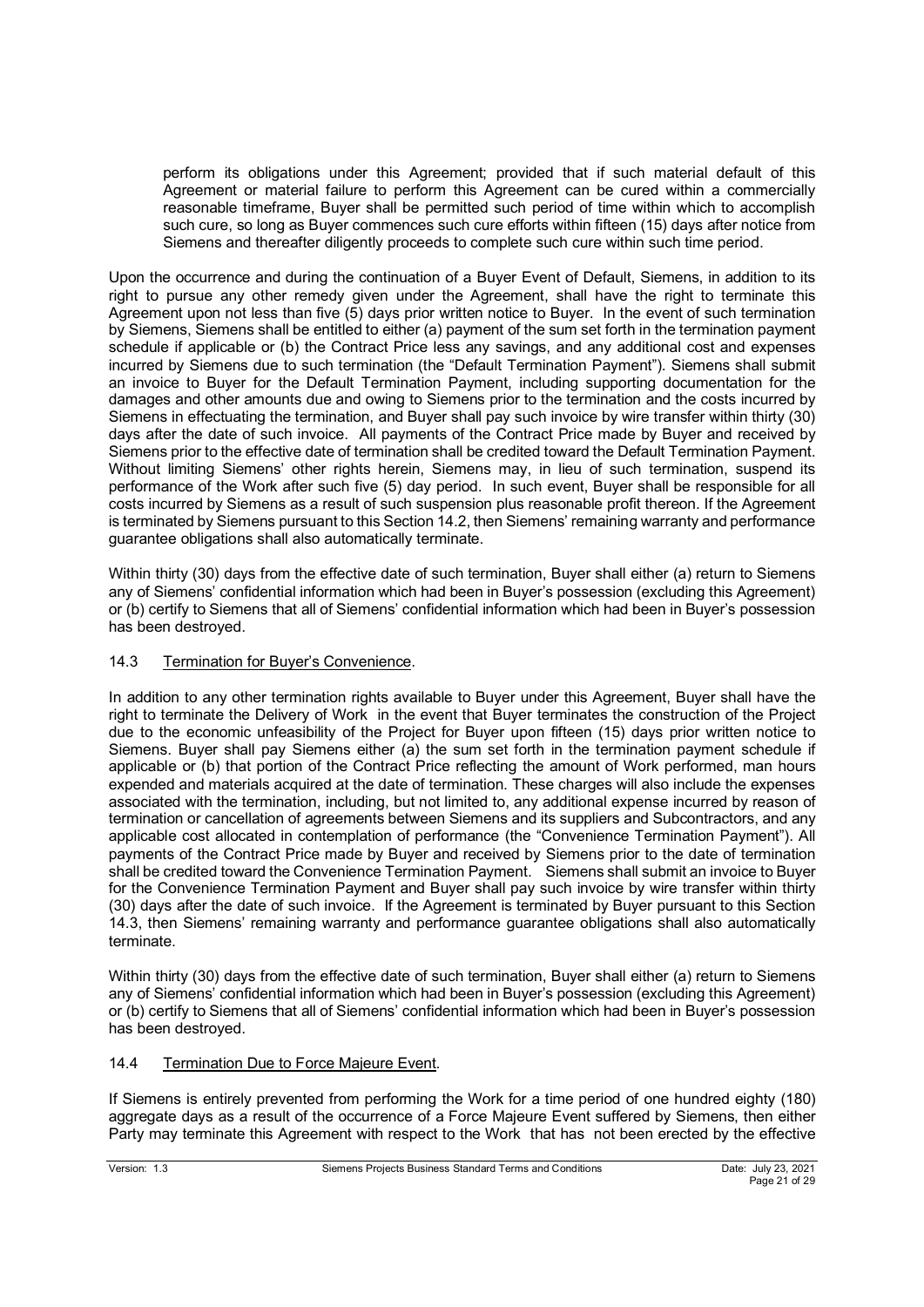perform its obligations under this Agreement; provided that if such material default of this Agreement or material failure to perform this Agreement can be cured within a commercially reasonable timeframe, Buyer shall be permitted such period of time within which to accomplish such cure, so long as Buyer commences such cure efforts within fifteen (15) days after notice from Siemens and thereafter diligently proceeds to complete such cure within such time period.

Upon the occurrence and during the continuation of a Buyer Event of Default, Siemens, in addition to its right to pursue any other remedy given under the Agreement, shall have the right to terminate this Agreement upon not less than five (5) days prior written notice to Buyer. In the event of such termination by Siemens, Siemens shall be entitled to either (a) payment of the sum set forth in the termination payment schedule if applicable or (b) the Contract Price less any savings, and any additional cost and expenses incurred by Siemens due to such termination (the "Default Termination Payment"). Siemens shall submit an invoice to Buyer for the Default Termination Payment, including supporting documentation for the damages and other amounts due and owing to Siemens prior to the termination and the costs incurred by Siemens in effectuating the termination, and Buyer shall pay such invoice by wire transfer within thirty (30) days after the date of such invoice. All payments of the Contract Price made by Buyer and received by Siemens prior to the effective date of termination shall be credited toward the Default Termination Payment. Without limiting Siemens' other rights herein, Siemens may, in lieu of such termination, suspend its performance of the Work after such five (5) day period. In such event, Buyer shall be responsible for all costs incurred by Siemens as a result of such suspension plus reasonable profit thereon. If the Agreement is terminated by Siemens pursuant to this Section 14.2, then Siemens' remaining warranty and performance guarantee obligations shall also automatically terminate.

Within thirty (30) days from the effective date of such termination, Buyer shall either (a) return to Siemens any of Siemens' confidential information which had been in Buyer's possession (excluding this Agreement) or (b) certify to Siemens that all of Siemens' confidential information which had been in Buyer's possession has been destroyed.

# 14.3 Termination for Buyer's Convenience.

In addition to any other termination rights available to Buyer under this Agreement, Buyer shall have the right to terminate the Delivery of Work in the event that Buyer terminates the construction of the Project due to the economic unfeasibility of the Project for Buyer upon fifteen (15) days prior written notice to Siemens. Buyer shall pay Siemens either (a) the sum set forth in the termination payment schedule if applicable or (b) that portion of the Contract Price reflecting the amount of Work performed, man hours expended and materials acquired at the date of termination. These charges will also include the expenses associated with the termination, including, but not limited to, any additional expense incurred by reason of termination or cancellation of agreements between Siemens and its suppliers and Subcontractors, and any applicable cost allocated in contemplation of performance (the "Convenience Termination Payment"). All payments of the Contract Price made by Buyer and received by Siemens prior to the date of termination shall be credited toward the Convenience Termination Payment. Siemens shall submit an invoice to Buyer for the Convenience Termination Payment and Buyer shall pay such invoice by wire transfer within thirty (30) days after the date of such invoice. If the Agreement is terminated by Buyer pursuant to this Section 14.3, then Siemens' remaining warranty and performance guarantee obligations shall also automatically terminate.

Within thirty (30) days from the effective date of such termination, Buyer shall either (a) return to Siemens any of Siemens' confidential information which had been in Buyer's possession (excluding this Agreement) or (b) certify to Siemens that all of Siemens' confidential information which had been in Buyer's possession has been destroyed.

## 14.4 Termination Due to Force Majeure Event.

If Siemens is entirely prevented from performing the Work for a time period of one hundred eighty (180) aggregate days as a result of the occurrence of a Force Majeure Event suffered by Siemens, then either Party may terminate this Agreement with respect to the Work that has not been erected by the effective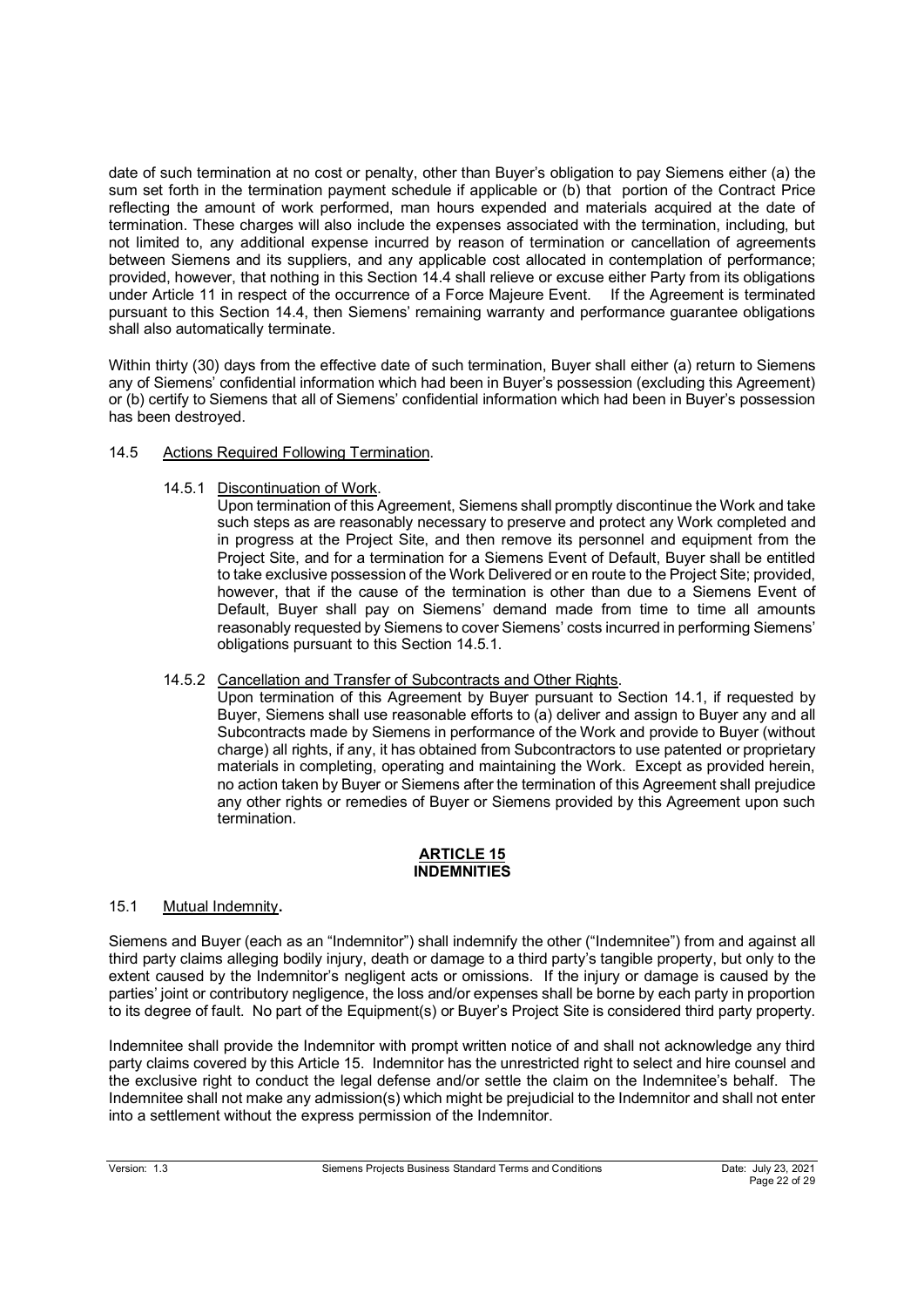date of such termination at no cost or penalty, other than Buyer's obligation to pay Siemens either (a) the sum set forth in the termination payment schedule if applicable or (b) that portion of the Contract Price reflecting the amount of work performed, man hours expended and materials acquired at the date of termination. These charges will also include the expenses associated with the termination, including, but not limited to, any additional expense incurred by reason of termination or cancellation of agreements between Siemens and its suppliers, and any applicable cost allocated in contemplation of performance; provided, however, that nothing in this Section 14.4 shall relieve or excuse either Party from its obligations under Article 11 in respect of the occurrence of a Force Majeure Event. If the Agreement is terminated pursuant to this Section 14.4, then Siemens' remaining warranty and performance guarantee obligations shall also automatically terminate.

Within thirty (30) days from the effective date of such termination, Buyer shall either (a) return to Siemens any of Siemens' confidential information which had been in Buyer's possession (excluding this Agreement) or (b) certify to Siemens that all of Siemens' confidential information which had been in Buyer's possession has been destroyed.

# 14.5 Actions Required Following Termination.

14.5.1 Discontinuation of Work.

Upon termination of this Agreement, Siemens shall promptly discontinue the Work and take such steps as are reasonably necessary to preserve and protect any Work completed and in progress at the Project Site, and then remove its personnel and equipment from the Project Site, and for a termination for a Siemens Event of Default, Buyer shall be entitled to take exclusive possession of the Work Delivered or en route to the Project Site; provided, however, that if the cause of the termination is other than due to a Siemens Event of Default, Buyer shall pay on Siemens' demand made from time to time all amounts reasonably requested by Siemens to cover Siemens' costs incurred in performing Siemens' obligations pursuant to this Section 14.5.1.

14.5.2 Cancellation and Transfer of Subcontracts and Other Rights.

Upon termination of this Agreement by Buyer pursuant to Section 14.1, if requested by Buyer, Siemens shall use reasonable efforts to (a) deliver and assign to Buyer any and all Subcontracts made by Siemens in performance of the Work and provide to Buyer (without charge) all rights, if any, it has obtained from Subcontractors to use patented or proprietary materials in completing, operating and maintaining the Work. Except as provided herein, no action taken by Buyer or Siemens after the termination of this Agreement shall prejudice any other rights or remedies of Buyer or Siemens provided by this Agreement upon such termination.

### **ARTICLE 15 INDEMNITIES**

# 15.1 Mutual Indemnity**.**

Siemens and Buyer (each as an "Indemnitor") shall indemnify the other ("Indemnitee") from and against all third party claims alleging bodily injury, death or damage to a third party's tangible property, but only to the extent caused by the Indemnitor's negligent acts or omissions. If the injury or damage is caused by the parties' joint or contributory negligence, the loss and/or expenses shall be borne by each party in proportion to its degree of fault. No part of the Equipment(s) or Buyer's Project Site is considered third party property.

Indemnitee shall provide the Indemnitor with prompt written notice of and shall not acknowledge any third party claims covered by this Article 15. Indemnitor has the unrestricted right to select and hire counsel and the exclusive right to conduct the legal defense and/or settle the claim on the Indemnitee's behalf. The Indemnitee shall not make any admission(s) which might be prejudicial to the Indemnitor and shall not enter into a settlement without the express permission of the Indemnitor.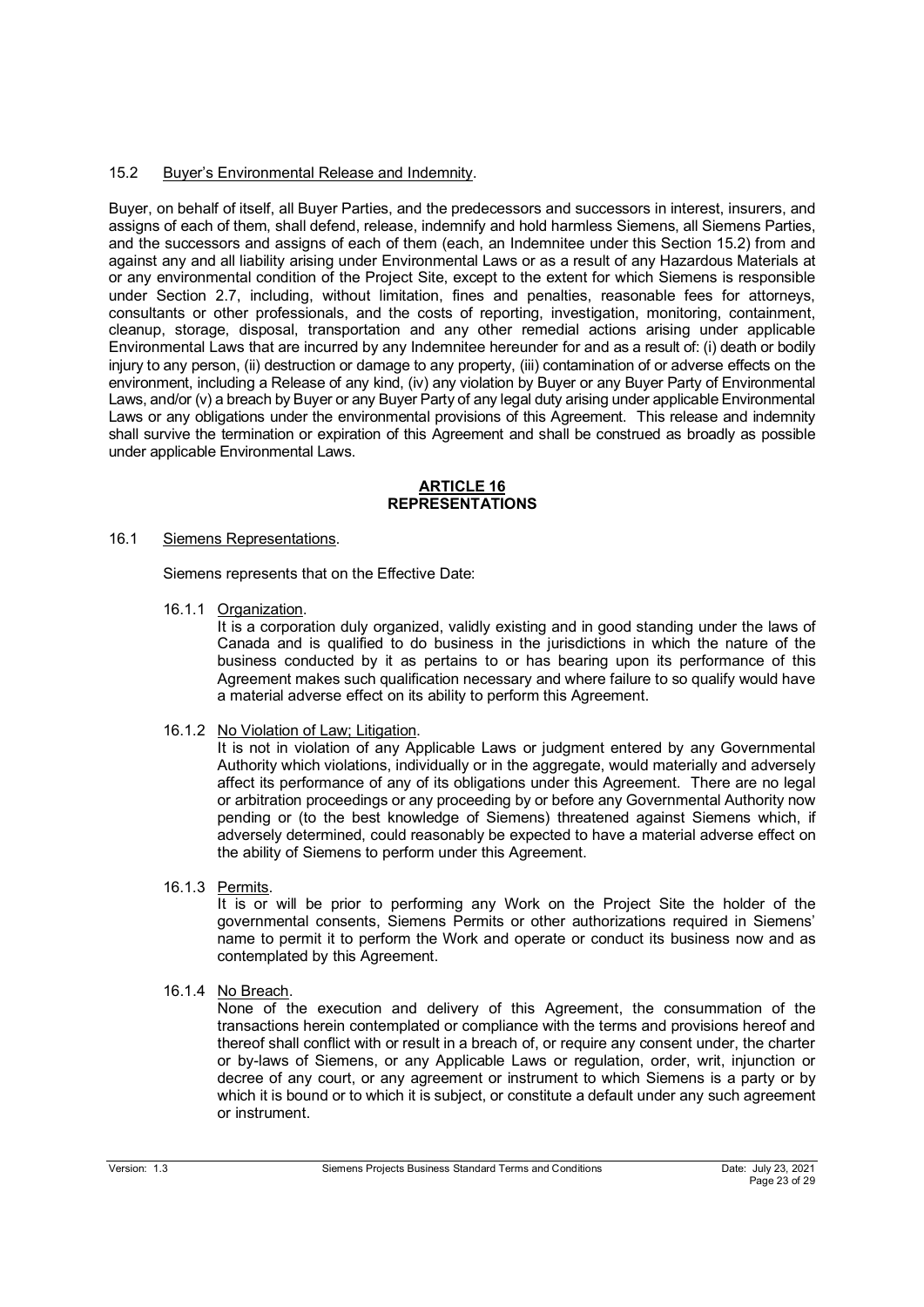# 15.2 Buyer's Environmental Release and Indemnity.

Buyer, on behalf of itself, all Buyer Parties, and the predecessors and successors in interest, insurers, and assigns of each of them, shall defend, release, indemnify and hold harmless Siemens, all Siemens Parties, and the successors and assigns of each of them (each, an Indemnitee under this Section 15.2) from and against any and all liability arising under Environmental Laws or as a result of any Hazardous Materials at or any environmental condition of the Project Site, except to the extent for which Siemens is responsible under Section 2.7, including, without limitation, fines and penalties, reasonable fees for attorneys, consultants or other professionals, and the costs of reporting, investigation, monitoring, containment, cleanup, storage, disposal, transportation and any other remedial actions arising under applicable Environmental Laws that are incurred by any Indemnitee hereunder for and as a result of: (i) death or bodily injury to any person, (ii) destruction or damage to any property, (iii) contamination of or adverse effects on the environment, including a Release of any kind, (iv) any violation by Buyer or any Buyer Party of Environmental Laws, and/or (v) a breach by Buyer or any Buyer Party of any legal duty arising under applicable Environmental Laws or any obligations under the environmental provisions of this Agreement. This release and indemnity shall survive the termination or expiration of this Agreement and shall be construed as broadly as possible under applicable Environmental Laws.

### **ARTICLE 16 REPRESENTATIONS**

## 16.1 Siemens Representations.

Siemens represents that on the Effective Date:

16.1.1 Organization.

It is a corporation duly organized, validly existing and in good standing under the laws of Canada and is qualified to do business in the jurisdictions in which the nature of the business conducted by it as pertains to or has bearing upon its performance of this Agreement makes such qualification necessary and where failure to so qualify would have a material adverse effect on its ability to perform this Agreement.

16.1.2 No Violation of Law; Litigation.

It is not in violation of any Applicable Laws or judgment entered by any Governmental Authority which violations, individually or in the aggregate, would materially and adversely affect its performance of any of its obligations under this Agreement. There are no legal or arbitration proceedings or any proceeding by or before any Governmental Authority now pending or (to the best knowledge of Siemens) threatened against Siemens which, if adversely determined, could reasonably be expected to have a material adverse effect on the ability of Siemens to perform under this Agreement.

16.1.3 Permits.

It is or will be prior to performing any Work on the Project Site the holder of the governmental consents, Siemens Permits or other authorizations required in Siemens' name to permit it to perform the Work and operate or conduct its business now and as contemplated by this Agreement.

16.1.4 No Breach.

None of the execution and delivery of this Agreement, the consummation of the transactions herein contemplated or compliance with the terms and provisions hereof and thereof shall conflict with or result in a breach of, or require any consent under, the charter or by-laws of Siemens, or any Applicable Laws or regulation, order, writ, injunction or decree of any court, or any agreement or instrument to which Siemens is a party or by which it is bound or to which it is subject, or constitute a default under any such agreement or instrument.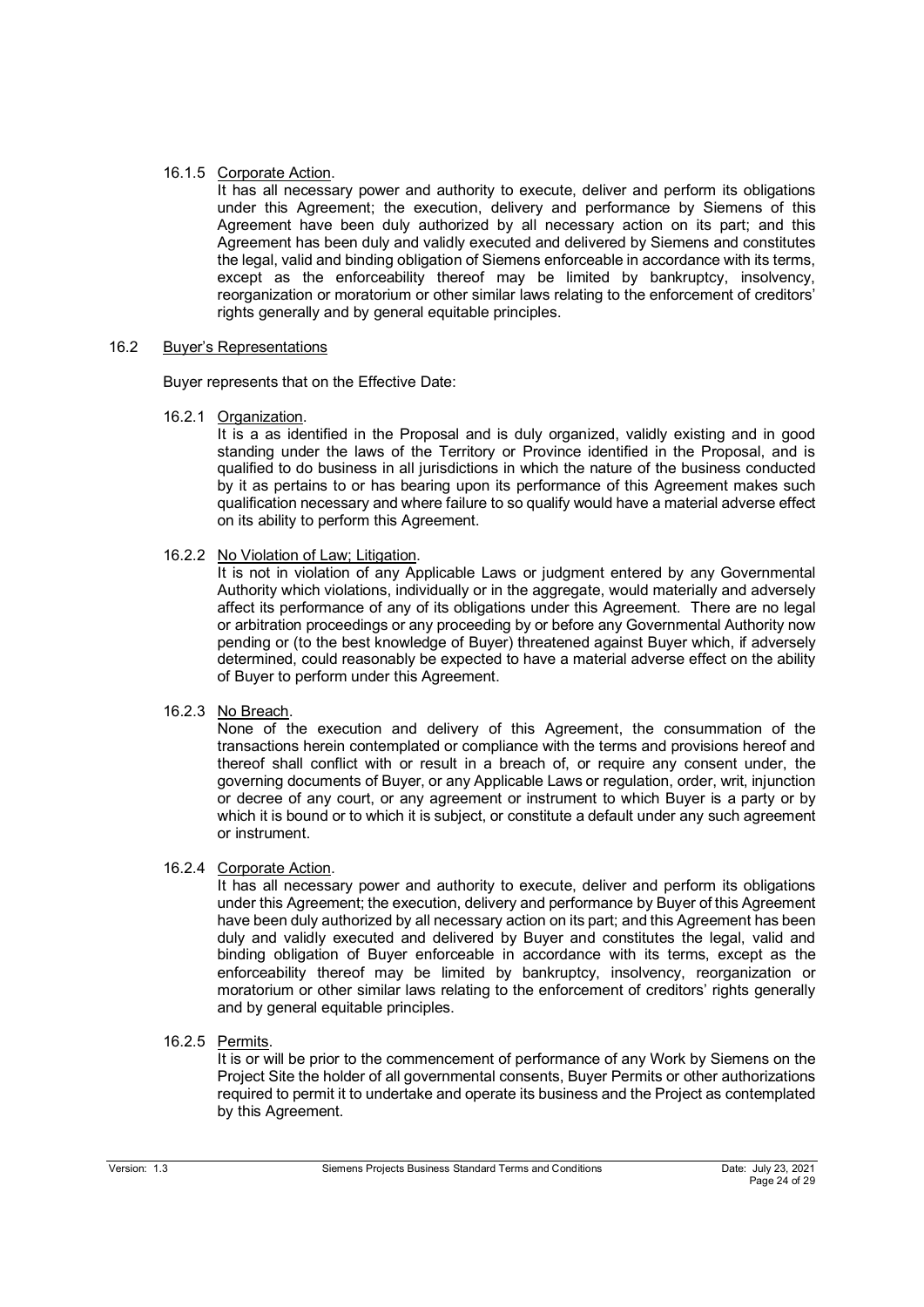## 16.1.5 Corporate Action.

It has all necessary power and authority to execute, deliver and perform its obligations under this Agreement; the execution, delivery and performance by Siemens of this Agreement have been duly authorized by all necessary action on its part; and this Agreement has been duly and validly executed and delivered by Siemens and constitutes the legal, valid and binding obligation of Siemens enforceable in accordance with its terms, except as the enforceability thereof may be limited by bankruptcy, insolvency, reorganization or moratorium or other similar laws relating to the enforcement of creditors' rights generally and by general equitable principles.

## 16.2 Buyer's Representations

Buyer represents that on the Effective Date:

16.2.1 Organization.

It is a as identified in the Proposal and is duly organized, validly existing and in good standing under the laws of the Territory or Province identified in the Proposal, and is qualified to do business in all jurisdictions in which the nature of the business conducted by it as pertains to or has bearing upon its performance of this Agreement makes such qualification necessary and where failure to so qualify would have a material adverse effect on its ability to perform this Agreement.

16.2.2 No Violation of Law; Litigation.

It is not in violation of any Applicable Laws or judgment entered by any Governmental Authority which violations, individually or in the aggregate, would materially and adversely affect its performance of any of its obligations under this Agreement. There are no legal or arbitration proceedings or any proceeding by or before any Governmental Authority now pending or (to the best knowledge of Buyer) threatened against Buyer which, if adversely determined, could reasonably be expected to have a material adverse effect on the ability of Buyer to perform under this Agreement.

16.2.3 No Breach.

None of the execution and delivery of this Agreement, the consummation of the transactions herein contemplated or compliance with the terms and provisions hereof and thereof shall conflict with or result in a breach of, or require any consent under, the governing documents of Buyer, or any Applicable Laws or regulation, order, writ, injunction or decree of any court, or any agreement or instrument to which Buyer is a party or by which it is bound or to which it is subject, or constitute a default under any such agreement or instrument.

## 16.2.4 Corporate Action.

It has all necessary power and authority to execute, deliver and perform its obligations under this Agreement; the execution, delivery and performance by Buyer of this Agreement have been duly authorized by all necessary action on its part; and this Agreement has been duly and validly executed and delivered by Buyer and constitutes the legal, valid and binding obligation of Buyer enforceable in accordance with its terms, except as the enforceability thereof may be limited by bankruptcy, insolvency, reorganization or moratorium or other similar laws relating to the enforcement of creditors' rights generally and by general equitable principles.

16.2.5 Permits.

It is or will be prior to the commencement of performance of any Work by Siemens on the Project Site the holder of all governmental consents, Buyer Permits or other authorizations required to permit it to undertake and operate its business and the Project as contemplated by this Agreement.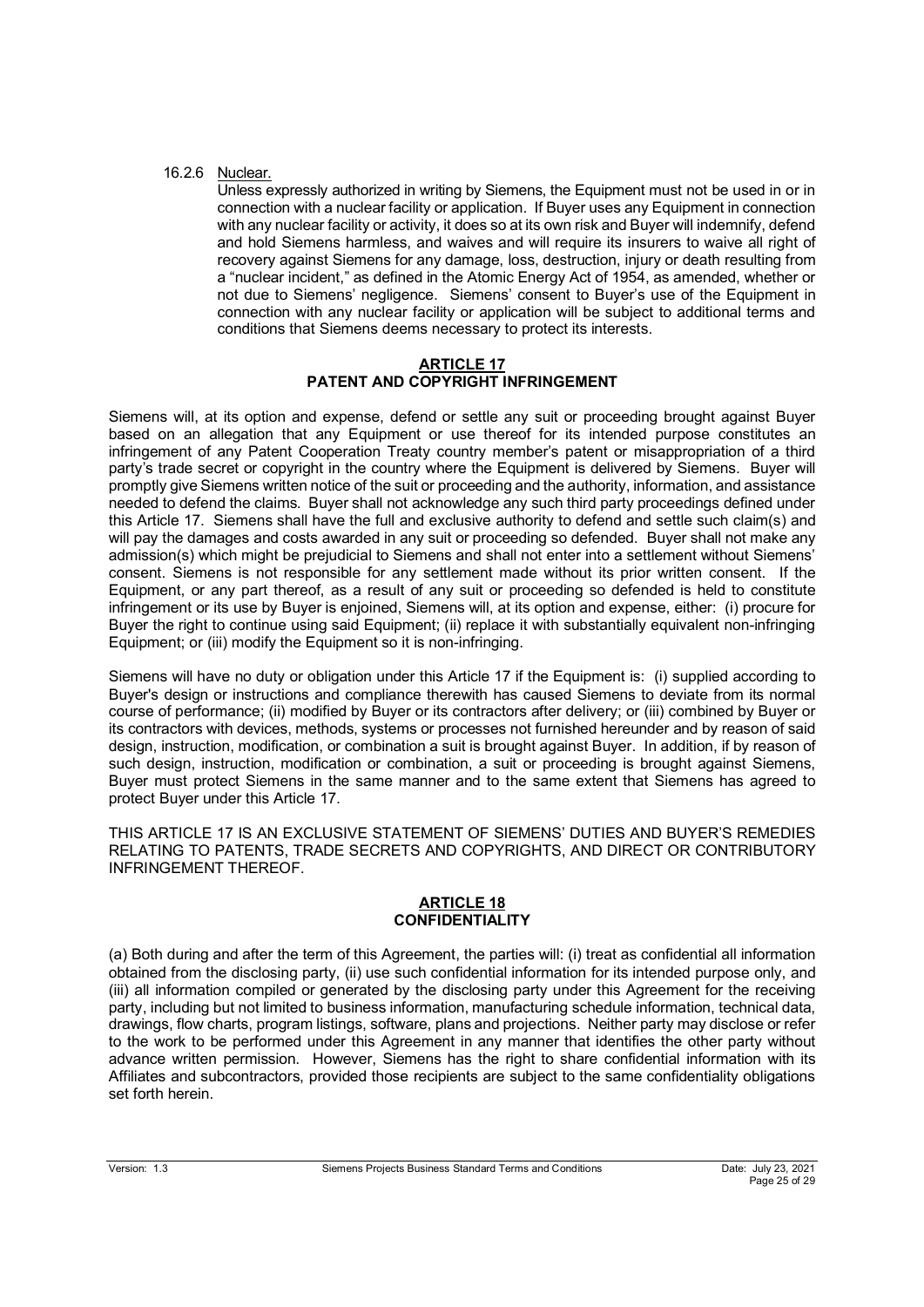## 16.2.6 Nuclear.

Unless expressly authorized in writing by Siemens, the Equipment must not be used in or in connection with a nuclear facility or application. If Buyer uses any Equipment in connection with any nuclear facility or activity, it does so at its own risk and Buyer will indemnify, defend and hold Siemens harmless, and waives and will require its insurers to waive all right of recovery against Siemens for any damage, loss, destruction, injury or death resulting from a "nuclear incident," as defined in the Atomic Energy Act of 1954, as amended, whether or not due to Siemens' negligence. Siemens' consent to Buyer's use of the Equipment in connection with any nuclear facility or application will be subject to additional terms and conditions that Siemens deems necessary to protect its interests.

## **ARTICLE 17 PATENT AND COPYRIGHT INFRINGEMENT**

Siemens will, at its option and expense, defend or settle any suit or proceeding brought against Buyer based on an allegation that any Equipment or use thereof for its intended purpose constitutes an infringement of any Patent Cooperation Treaty country member's patent or misappropriation of a third party's trade secret or copyright in the country where the Equipment is delivered by Siemens. Buyer will promptly give Siemens written notice of the suit or proceeding and the authority, information, and assistance needed to defend the claims. Buyer shall not acknowledge any such third party proceedings defined under this Article 17. Siemens shall have the full and exclusive authority to defend and settle such claim(s) and will pay the damages and costs awarded in any suit or proceeding so defended. Buyer shall not make any admission(s) which might be prejudicial to Siemens and shall not enter into a settlement without Siemens' consent. Siemens is not responsible for any settlement made without its prior written consent. If the Equipment, or any part thereof, as a result of any suit or proceeding so defended is held to constitute infringement or its use by Buyer is enjoined, Siemens will, at its option and expense, either: (i) procure for Buyer the right to continue using said Equipment; (ii) replace it with substantially equivalent non-infringing Equipment; or (iii) modify the Equipment so it is non-infringing.

Siemens will have no duty or obligation under this Article 17 if the Equipment is: (i) supplied according to Buyer's design or instructions and compliance therewith has caused Siemens to deviate from its normal course of performance; (ii) modified by Buyer or its contractors after delivery; or (iii) combined by Buyer or its contractors with devices, methods, systems or processes not furnished hereunder and by reason of said design, instruction, modification, or combination a suit is brought against Buyer. In addition, if by reason of such design, instruction, modification or combination, a suit or proceeding is brought against Siemens, Buyer must protect Siemens in the same manner and to the same extent that Siemens has agreed to protect Buyer under this Article 17.

THIS ARTICLE 17 IS AN EXCLUSIVE STATEMENT OF SIEMENS' DUTIES AND BUYER'S REMEDIES RELATING TO PATENTS, TRADE SECRETS AND COPYRIGHTS, AND DIRECT OR CONTRIBUTORY INFRINGEMENT THEREOF.

### **ARTICLE 18 CONFIDENTIALITY**

(a) Both during and after the term of this Agreement, the parties will: (i) treat as confidential all information obtained from the disclosing party, (ii) use such confidential information for its intended purpose only, and (iii) all information compiled or generated by the disclosing party under this Agreement for the receiving party, including but not limited to business information, manufacturing schedule information, technical data, drawings, flow charts, program listings, software, plans and projections. Neither party may disclose or refer to the work to be performed under this Agreement in any manner that identifies the other party without advance written permission. However, Siemens has the right to share confidential information with its Affiliates and subcontractors, provided those recipients are subject to the same confidentiality obligations set forth herein.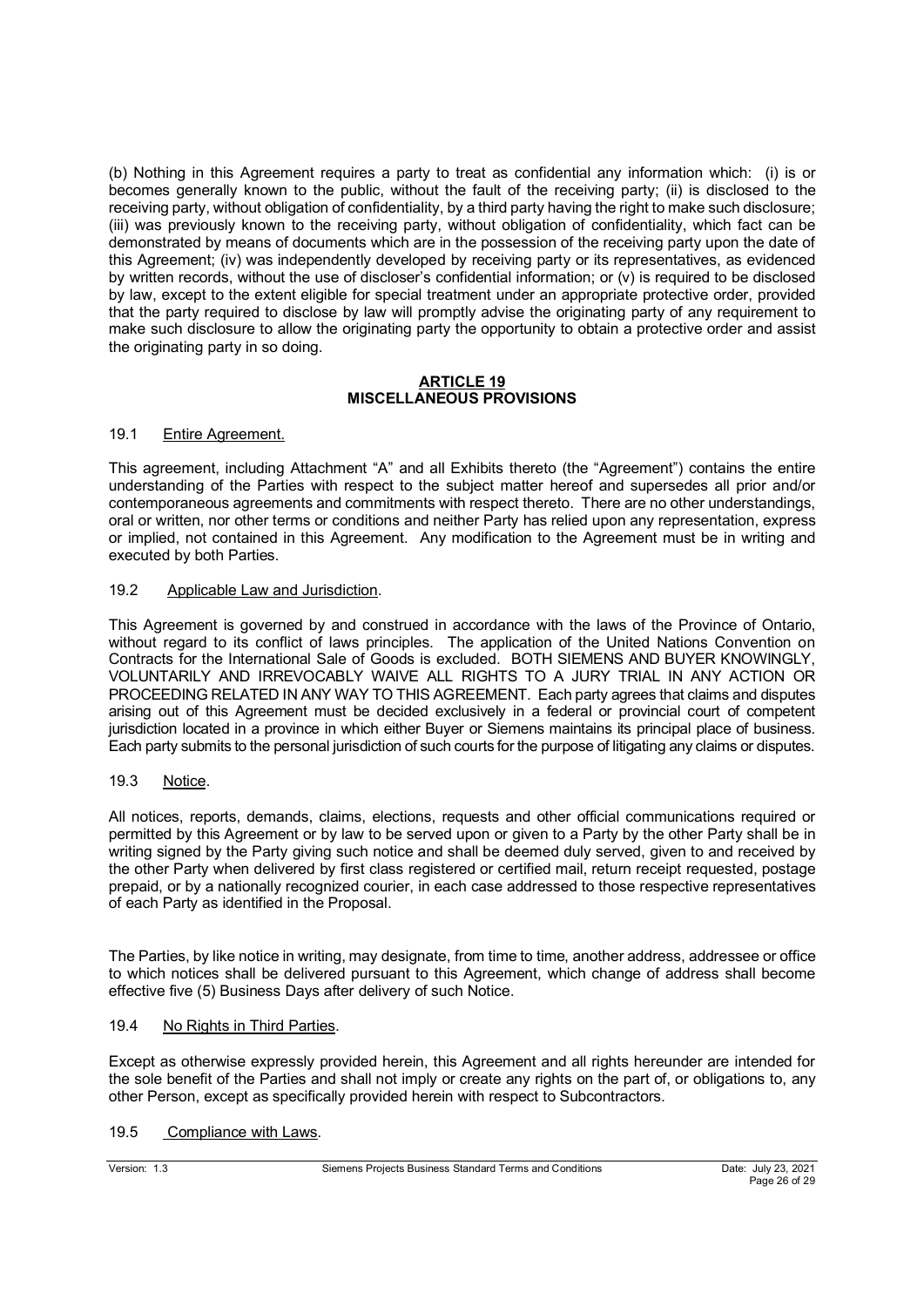(b) Nothing in this Agreement requires a party to treat as confidential any information which: (i) is or becomes generally known to the public, without the fault of the receiving party; (ii) is disclosed to the receiving party, without obligation of confidentiality, by a third party having the right to make such disclosure; (iii) was previously known to the receiving party, without obligation of confidentiality, which fact can be demonstrated by means of documents which are in the possession of the receiving party upon the date of this Agreement; (iv) was independently developed by receiving party or its representatives, as evidenced by written records, without the use of discloser's confidential information; or (v) is required to be disclosed by law, except to the extent eligible for special treatment under an appropriate protective order, provided that the party required to disclose by law will promptly advise the originating party of any requirement to make such disclosure to allow the originating party the opportunity to obtain a protective order and assist the originating party in so doing.

## **ARTICLE 19 MISCELLANEOUS PROVISIONS**

# 19.1 Entire Agreement.

This agreement, including Attachment "A" and all Exhibits thereto (the "Agreement") contains the entire understanding of the Parties with respect to the subject matter hereof and supersedes all prior and/or contemporaneous agreements and commitments with respect thereto. There are no other understandings, oral or written, nor other terms or conditions and neither Party has relied upon any representation, express or implied, not contained in this Agreement. Any modification to the Agreement must be in writing and executed by both Parties.

## 19.2 Applicable Law and Jurisdiction.

This Agreement is governed by and construed in accordance with the laws of the Province of Ontario, without regard to its conflict of laws principles. The application of the United Nations Convention on Contracts for the International Sale of Goods is excluded. BOTH SIEMENS AND BUYER KNOWINGLY, VOLUNTARILY AND IRREVOCABLY WAIVE ALL RIGHTS TO A JURY TRIAL IN ANY ACTION OR PROCEEDING RELATED IN ANY WAY TO THIS AGREEMENT. Each party agrees that claims and disputes arising out of this Agreement must be decided exclusively in a federal or provincial court of competent jurisdiction located in a province in which either Buyer or Siemens maintains its principal place of business. Each party submits to the personal jurisdiction of such courts for the purpose of litigating any claims or disputes.

## 19.3 Notice.

All notices, reports, demands, claims, elections, requests and other official communications required or permitted by this Agreement or by law to be served upon or given to a Party by the other Party shall be in writing signed by the Party giving such notice and shall be deemed duly served, given to and received by the other Party when delivered by first class registered or certified mail, return receipt requested, postage prepaid, or by a nationally recognized courier, in each case addressed to those respective representatives of each Party as identified in the Proposal.

The Parties, by like notice in writing, may designate, from time to time, another address, addressee or office to which notices shall be delivered pursuant to this Agreement, which change of address shall become effective five (5) Business Days after delivery of such Notice.

## 19.4 No Rights in Third Parties.

Except as otherwise expressly provided herein, this Agreement and all rights hereunder are intended for the sole benefit of the Parties and shall not imply or create any rights on the part of, or obligations to, any other Person, except as specifically provided herein with respect to Subcontractors.

## 19.5 Compliance with Laws.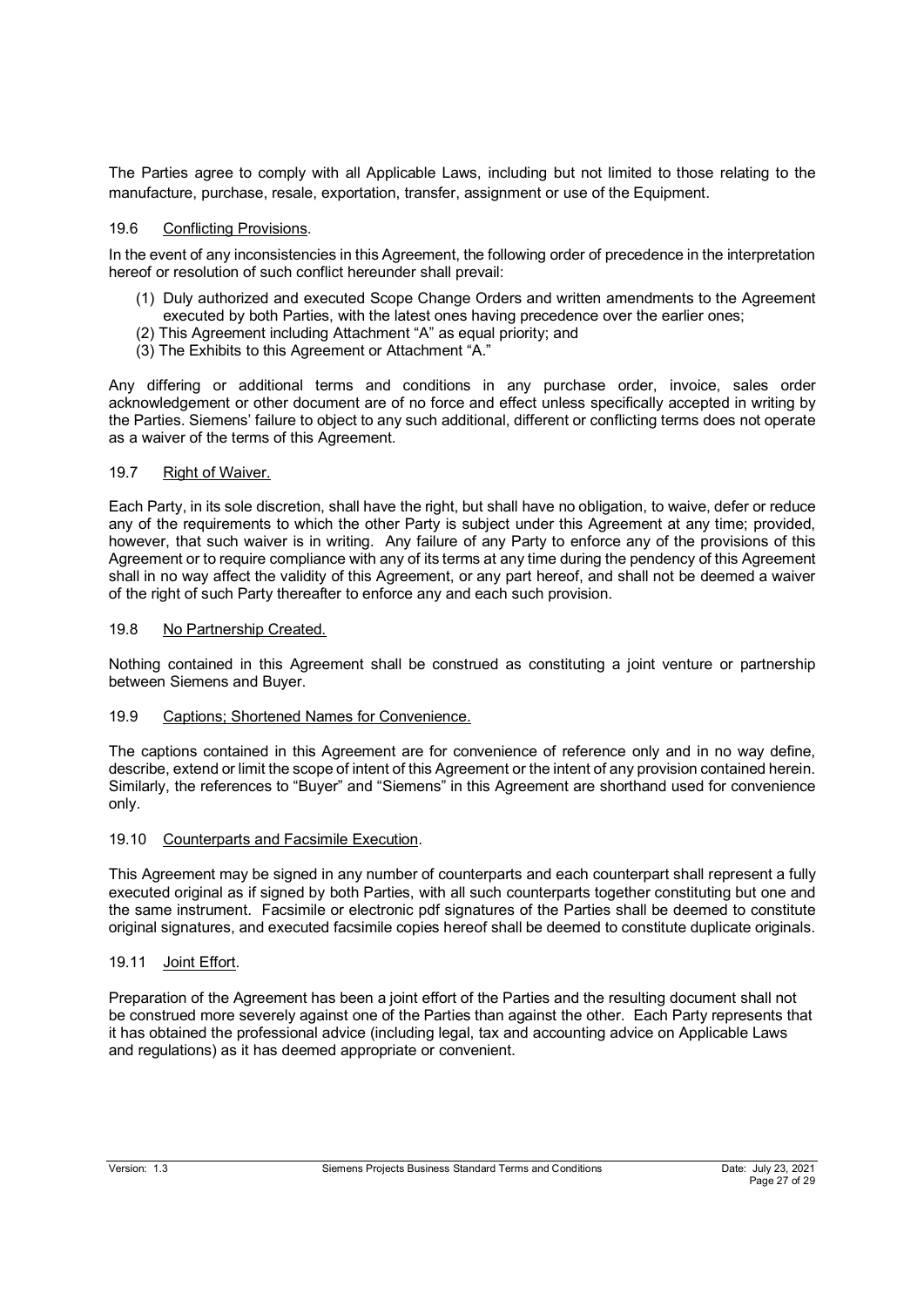The Parties agree to comply with all Applicable Laws, including but not limited to those relating to the manufacture, purchase, resale, exportation, transfer, assignment or use of the Equipment.

## 19.6 Conflicting Provisions.

In the event of any inconsistencies in this Agreement, the following order of precedence in the interpretation hereof or resolution of such conflict hereunder shall prevail:

- (1) Duly authorized and executed Scope Change Orders and written amendments to the Agreement executed by both Parties, with the latest ones having precedence over the earlier ones;
- (2) This Agreement including Attachment "A" as equal priority; and
- (3) The Exhibits to this Agreement or Attachment "A."

Any differing or additional terms and conditions in any purchase order, invoice, sales order acknowledgement or other document are of no force and effect unless specifically accepted in writing by the Parties. Siemens' failure to object to any such additional, different or conflicting terms does not operate as a waiver of the terms of this Agreement.

## 19.7 Right of Waiver.

Each Party, in its sole discretion, shall have the right, but shall have no obligation, to waive, defer or reduce any of the requirements to which the other Party is subject under this Agreement at any time; provided, however, that such waiver is in writing. Any failure of any Party to enforce any of the provisions of this Agreement or to require compliance with any of its terms at any time during the pendency of this Agreement shall in no way affect the validity of this Agreement, or any part hereof, and shall not be deemed a waiver of the right of such Party thereafter to enforce any and each such provision.

### 19.8 No Partnership Created.

Nothing contained in this Agreement shall be construed as constituting a joint venture or partnership between Siemens and Buyer.

### 19.9 Captions; Shortened Names for Convenience.

The captions contained in this Agreement are for convenience of reference only and in no way define, describe, extend or limit the scope of intent of this Agreement or the intent of any provision contained herein. Similarly, the references to "Buyer" and "Siemens" in this Agreement are shorthand used for convenience only.

### 19.10 Counterparts and Facsimile Execution.

This Agreement may be signed in any number of counterparts and each counterpart shall represent a fully executed original as if signed by both Parties, with all such counterparts together constituting but one and the same instrument. Facsimile or electronic pdf signatures of the Parties shall be deemed to constitute original signatures, and executed facsimile copies hereof shall be deemed to constitute duplicate originals.

### 19.11 Joint Effort.

Preparation of the Agreement has been a joint effort of the Parties and the resulting document shall not be construed more severely against one of the Parties than against the other. Each Party represents that it has obtained the professional advice (including legal, tax and accounting advice on Applicable Laws and regulations) as it has deemed appropriate or convenient.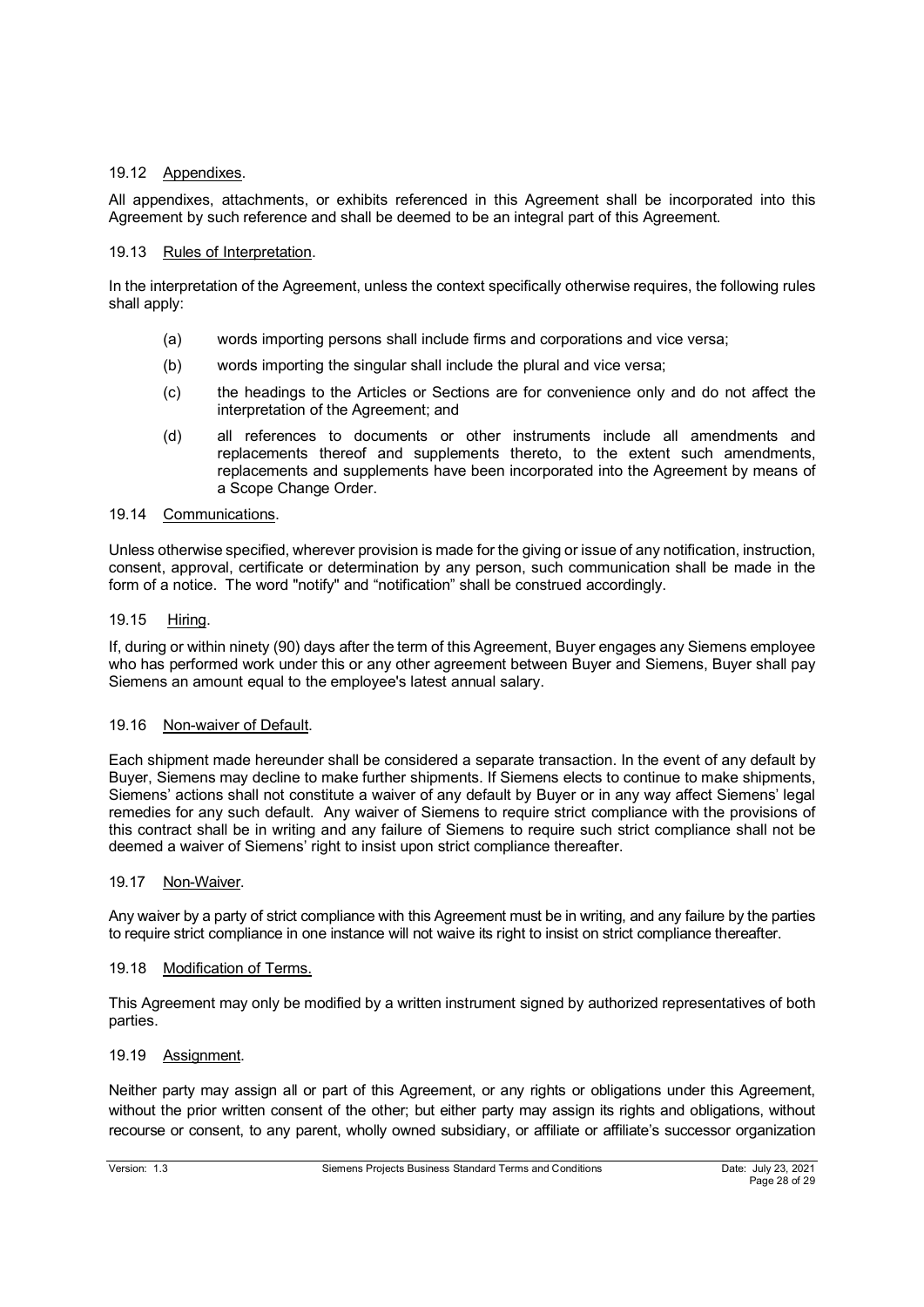## 19.12 Appendixes.

All appendixes, attachments, or exhibits referenced in this Agreement shall be incorporated into this Agreement by such reference and shall be deemed to be an integral part of this Agreement.

## 19.13 Rules of Interpretation.

In the interpretation of the Agreement, unless the context specifically otherwise requires, the following rules shall apply:

- (a) words importing persons shall include firms and corporations and vice versa;
- (b) words importing the singular shall include the plural and vice versa;
- (c) the headings to the Articles or Sections are for convenience only and do not affect the interpretation of the Agreement; and
- (d) all references to documents or other instruments include all amendments and replacements thereof and supplements thereto, to the extent such amendments, replacements and supplements have been incorporated into the Agreement by means of a Scope Change Order.

### 19.14 Communications.

Unless otherwise specified, wherever provision is made for the giving or issue of any notification, instruction, consent, approval, certificate or determination by any person, such communication shall be made in the form of a notice. The word "notify" and "notification" shall be construed accordingly.

## 19.15 Hiring.

If, during or within ninety (90) days after the term of this Agreement, Buyer engages any Siemens employee who has performed work under this or any other agreement between Buyer and Siemens, Buyer shall pay Siemens an amount equal to the employee's latest annual salary.

### 19.16 Non-waiver of Default.

Each shipment made hereunder shall be considered a separate transaction. In the event of any default by Buyer, Siemens may decline to make further shipments. If Siemens elects to continue to make shipments, Siemens' actions shall not constitute a waiver of any default by Buyer or in any way affect Siemens' legal remedies for any such default. Any waiver of Siemens to require strict compliance with the provisions of this contract shall be in writing and any failure of Siemens to require such strict compliance shall not be deemed a waiver of Siemens' right to insist upon strict compliance thereafter.

### 19.17 Non-Waiver.

Any waiver by a party of strict compliance with this Agreement must be in writing, and any failure by the parties to require strict compliance in one instance will not waive its right to insist on strict compliance thereafter.

### 19.18 Modification of Terms.

This Agreement may only be modified by a written instrument signed by authorized representatives of both parties.

### 19.19 Assignment.

Neither party may assign all or part of this Agreement, or any rights or obligations under this Agreement, without the prior written consent of the other; but either party may assign its rights and obligations, without recourse or consent, to any parent, wholly owned subsidiary, or affiliate or affiliate's successor organization